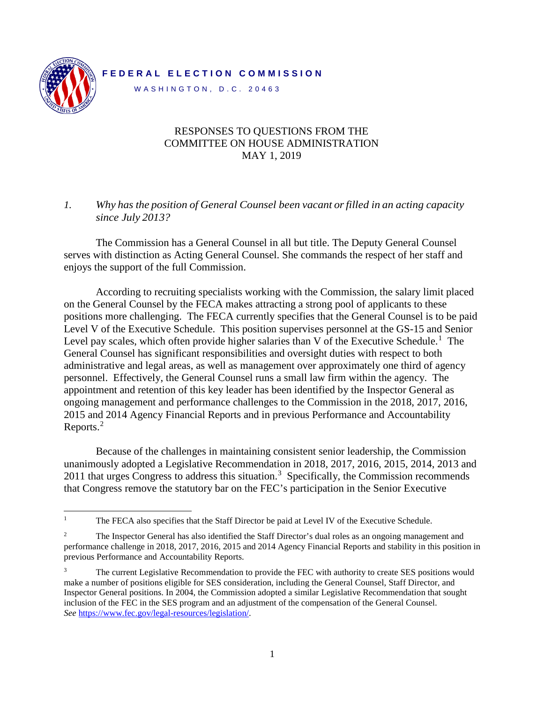## **F EDERAL ELECTION COMM ISSION**

WASHINGTON, D.C. 20463



## RESPONSES TO QUESTIONS FROM THE COMMITTEE ON HOUSE ADMINISTRATION MAY 1, 2019

## *1. Why has the position of General Counsel been vacant orfilled in an acting capacity since July 2013?*

The Commission has a General Counsel in all but title. The Deputy General Counsel serves with distinction as Acting General Counsel. She commands the respect of her staff and enjoys the support of the full Commission.

According to recruiting specialists working with the Commission, the salary limit placed on the General Counsel by the FECA makes attracting a strong pool of applicants to these positions more challenging. The FECA currently specifies that the General Counsel is to be paid Level V of the Executive Schedule. This position supervises personnel at the GS-15 and Senior Level pay scales, which often provide higher salaries than V of the Executive Schedule.<sup>[1](#page-0-0)</sup> The General Counsel has significant responsibilities and oversight duties with respect to both administrative and legal areas, as well as management over approximately one third of agency personnel. Effectively, the General Counsel runs a small law firm within the agency. The appointment and retention of this key leader has been identified by the Inspector General as ongoing management and performance challenges to the Commission in the 2018, 2017, 2016, 2015 and 2014 Agency Financial Reports and in previous Performance and Accountability Reports.<sup>[2](#page-0-1)</sup>

Because of the challenges in maintaining consistent senior leadership, the Commission unanimously adopted a Legislative Recommendation in 2018, 2017, 2016, 2015, 2014, 2013 and 2011 that urges Congress to address this situation.<sup>[3](#page-0-2)</sup> Specifically, the Commission recommends that Congress remove the statutory bar on the FEC's participation in the Senior Executive

<span id="page-0-0"></span><sup>&</sup>lt;sup>1</sup> The FECA also specifies that the Staff Director be paid at Level IV of the Executive Schedule.

<span id="page-0-1"></span><sup>&</sup>lt;sup>2</sup> The Inspector General has also identified the Staff Director's dual roles as an ongoing management and performance challenge in 2018, 2017, 2016, 2015 and 2014 Agency Financial Reports and stability in this position in previous Performance and Accountability Reports.

<span id="page-0-2"></span><sup>&</sup>lt;sup>3</sup> The current Legislative Recommendation to provide the FEC with authority to create SES positions would make a number of positions eligible for SES consideration, including the General Counsel, Staff Director, and Inspector General positions. In 2004, the Commission adopted a similar Legislative Recommendation that sought inclusion of the FEC in the SES program and an adjustment of the compensation of the General Counsel. *See* [https://www.fec.gov/legal-resources/legislation/.](https://www.fec.gov/legal-resources/legislation/)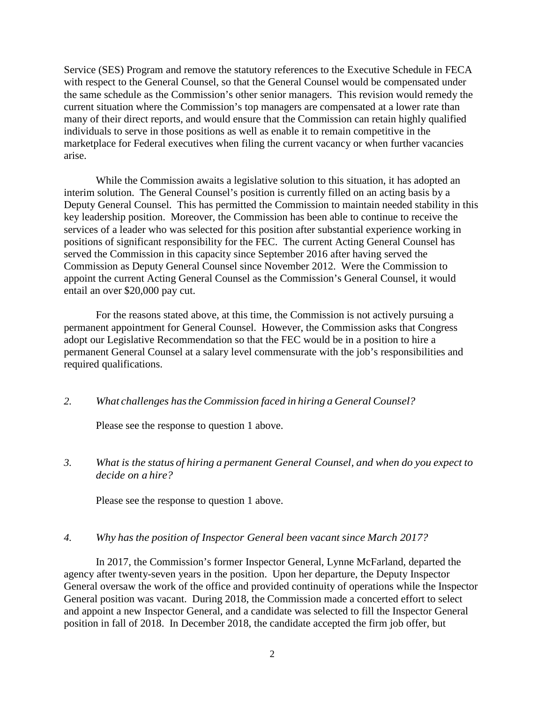Service (SES) Program and remove the statutory references to the Executive Schedule in FECA with respect to the General Counsel, so that the General Counsel would be compensated under the same schedule as the Commission's other senior managers. This revision would remedy the current situation where the Commission's top managers are compensated at a lower rate than many of their direct reports, and would ensure that the Commission can retain highly qualified individuals to serve in those positions as well as enable it to remain competitive in the marketplace for Federal executives when filing the current vacancy or when further vacancies arise.

While the Commission awaits a legislative solution to this situation, it has adopted an interim solution. The General Counsel's position is currently filled on an acting basis by a Deputy General Counsel. This has permitted the Commission to maintain needed stability in this key leadership position. Moreover, the Commission has been able to continue to receive the services of a leader who was selected for this position after substantial experience working in positions of significant responsibility for the FEC. The current Acting General Counsel has served the Commission in this capacity since September 2016 after having served the Commission as Deputy General Counsel since November 2012. Were the Commission to appoint the current Acting General Counsel as the Commission's General Counsel, it would entail an over \$20,000 pay cut.

For the reasons stated above, at this time, the Commission is not actively pursuing a permanent appointment for General Counsel. However, the Commission asks that Congress adopt our Legislative Recommendation so that the FEC would be in a position to hire a permanent General Counsel at a salary level commensurate with the job's responsibilities and required qualifications.

### *2. What challenges hastheCommission faced in hiring a General Counsel?*

Please see the response to question 1 above.

## *3. What is the status of hiring a permanent General Counsel, and when do you expect to decide on a hire?*

Please see the response to question 1 above.

### *4. Why has the position of Inspector General been vacant since March 2017?*

In 2017, the Commission's former Inspector General, Lynne McFarland, departed the agency after twenty-seven years in the position. Upon her departure, the Deputy Inspector General oversaw the work of the office and provided continuity of operations while the Inspector General position was vacant. During 2018, the Commission made a concerted effort to select and appoint a new Inspector General, and a candidate was selected to fill the Inspector General position in fall of 2018. In December 2018, the candidate accepted the firm job offer, but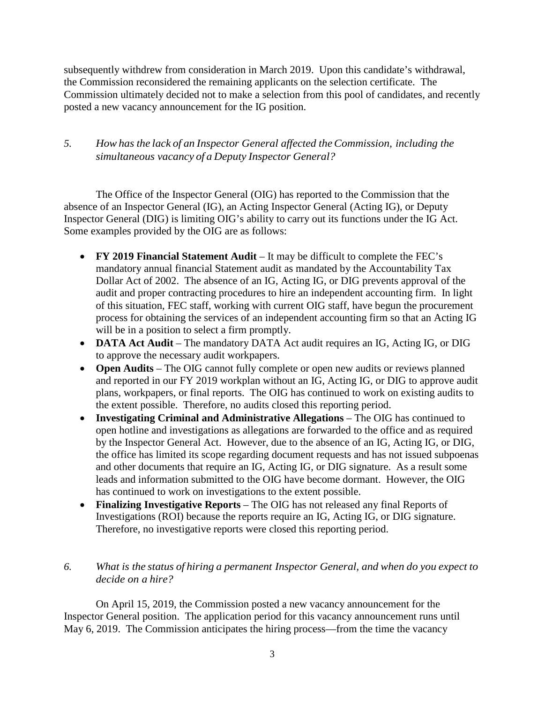subsequently withdrew from consideration in March 2019. Upon this candidate's withdrawal, the Commission reconsidered the remaining applicants on the selection certificate. The Commission ultimately decided not to make a selection from this pool of candidates, and recently posted a new vacancy announcement for the IG position.

## *5. How has the lack of an Inspector General affected theCommission, including the simultaneous vacancy of a Deputy Inspector General?*

The Office of the Inspector General (OIG) has reported to the Commission that the absence of an Inspector General (IG), an Acting Inspector General (Acting IG), or Deputy Inspector General (DIG) is limiting OIG's ability to carry out its functions under the IG Act. Some examples provided by the OIG are as follows:

- **FY 2019 Financial Statement Audit** It may be difficult to complete the FEC's mandatory annual financial Statement audit as mandated by the Accountability Tax Dollar Act of 2002. The absence of an IG, Acting IG, or DIG prevents approval of the audit and proper contracting procedures to hire an independent accounting firm. In light of this situation, FEC staff, working with current OIG staff, have begun the procurement process for obtaining the services of an independent accounting firm so that an Acting IG will be in a position to select a firm promptly.
- **DATA Act Audit** The mandatory DATA Act audit requires an IG, Acting IG, or DIG to approve the necessary audit workpapers.
- **Open Audits** The OIG cannot fully complete or open new audits or reviews planned and reported in our FY 2019 workplan without an IG, Acting IG, or DIG to approve audit plans, workpapers, or final reports. The OIG has continued to work on existing audits to the extent possible. Therefore, no audits closed this reporting period.
- **Investigating Criminal and Administrative Allegations** The OIG has continued to open hotline and investigations as allegations are forwarded to the office and as required by the Inspector General Act. However, due to the absence of an IG, Acting IG, or DIG, the office has limited its scope regarding document requests and has not issued subpoenas and other documents that require an IG, Acting IG, or DIG signature. As a result some leads and information submitted to the OIG have become dormant. However, the OIG has continued to work on investigations to the extent possible.
- **Finalizing Investigative Reports** The OIG has not released any final Reports of Investigations (ROI) because the reports require an IG, Acting IG, or DIG signature. Therefore, no investigative reports were closed this reporting period.

## *6. What is the status of hiring a permanent Inspector General, and when do you expect to decide on a hire?*

On April 15, 2019, the Commission posted a new vacancy announcement for the Inspector General position. The application period for this vacancy announcement runs until May 6, 2019. The Commission anticipates the hiring process—from the time the vacancy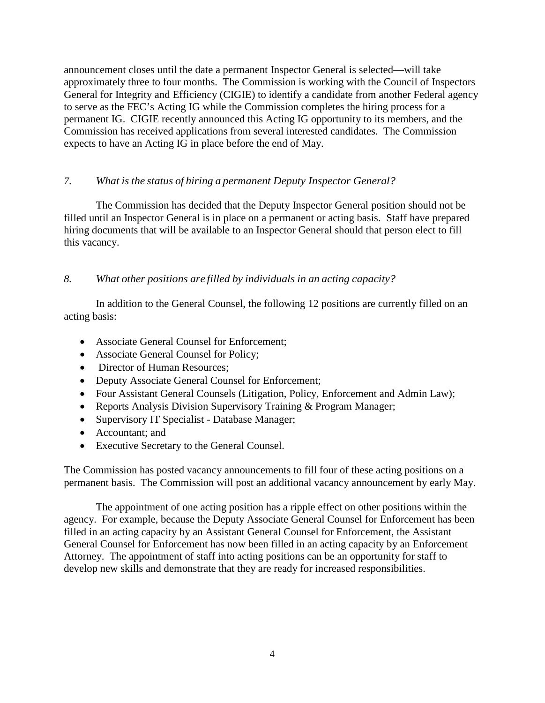announcement closes until the date a permanent Inspector General is selected—will take approximately three to four months. The Commission is working with the Council of Inspectors General for Integrity and Efficiency (CIGIE) to identify a candidate from another Federal agency to serve as the FEC's Acting IG while the Commission completes the hiring process for a permanent IG. CIGIE recently announced this Acting IG opportunity to its members, and the Commission has received applications from several interested candidates. The Commission expects to have an Acting IG in place before the end of May.

## *7. What is the status of hiring a permanent Deputy Inspector General?*

The Commission has decided that the Deputy Inspector General position should not be filled until an Inspector General is in place on a permanent or acting basis. Staff have prepared hiring documents that will be available to an Inspector General should that person elect to fill this vacancy.

*8. What other positions are filled by individuals in an acting capacity?*

In addition to the General Counsel, the following 12 positions are currently filled on an acting basis:

- Associate General Counsel for Enforcement;
- Associate General Counsel for Policy;
- Director of Human Resources;
- Deputy Associate General Counsel for Enforcement;
- Four Assistant General Counsels (Litigation, Policy, Enforcement and Admin Law);
- Reports Analysis Division Supervisory Training & Program Manager;
- Supervisory IT Specialist Database Manager;
- Accountant: and
- Executive Secretary to the General Counsel.

The Commission has posted vacancy announcements to fill four of these acting positions on a permanent basis. The Commission will post an additional vacancy announcement by early May.

The appointment of one acting position has a ripple effect on other positions within the agency. For example, because the Deputy Associate General Counsel for Enforcement has been filled in an acting capacity by an Assistant General Counsel for Enforcement, the Assistant General Counsel for Enforcement has now been filled in an acting capacity by an Enforcement Attorney. The appointment of staff into acting positions can be an opportunity for staff to develop new skills and demonstrate that they are ready for increased responsibilities.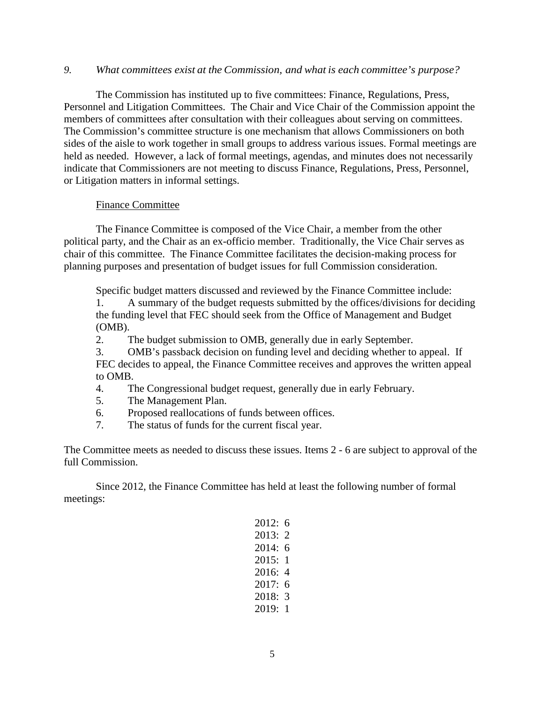#### *9. What committees exist at the Commission, and what is each committee's purpose?*

The Commission has instituted up to five committees: Finance, Regulations, Press, Personnel and Litigation Committees. The Chair and Vice Chair of the Commission appoint the members of committees after consultation with their colleagues about serving on committees. The Commission's committee structure is one mechanism that allows Commissioners on both sides of the aisle to work together in small groups to address various issues. Formal meetings are held as needed. However, a lack of formal meetings, agendas, and minutes does not necessarily indicate that Commissioners are not meeting to discuss Finance, Regulations, Press, Personnel, or Litigation matters in informal settings.

### Finance Committee

The Finance Committee is composed of the Vice Chair, a member from the other political party, and the Chair as an ex-officio member. Traditionally, the Vice Chair serves as chair of this committee. The Finance Committee facilitates the decision-making process for planning purposes and presentation of budget issues for full Commission consideration.

Specific budget matters discussed and reviewed by the Finance Committee include:

1. A summary of the budget requests submitted by the offices/divisions for deciding the funding level that FEC should seek from the Office of Management and Budget (OMB).

2. The budget submission to OMB, generally due in early September.

3. OMB's passback decision on funding level and deciding whether to appeal. If FEC decides to appeal, the Finance Committee receives and approves the written appeal to OMB.

4. The Congressional budget request, generally due in early February.

5. The Management Plan.

6. Proposed reallocations of funds between offices.

7. The status of funds for the current fiscal year.

The Committee meets as needed to discuss these issues. Items 2 - 6 are subject to approval of the full Commission.

Since 2012, the Finance Committee has held at least the following number of formal meetings:

| 2012: | 6 |
|-------|---|
| 2013: | 2 |
| 2014: | 6 |
| 2015: | 1 |
| 2016: | 4 |
|       |   |
| 2017: | 6 |
| 2018: | 3 |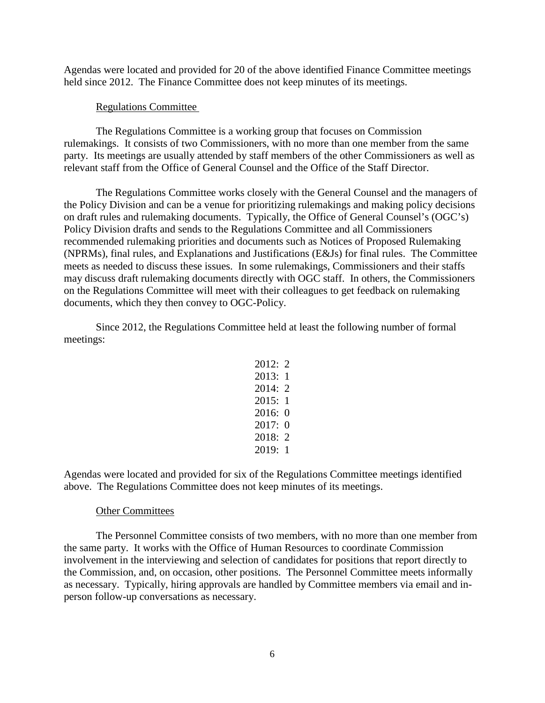Agendas were located and provided for 20 of the above identified Finance Committee meetings held since 2012. The Finance Committee does not keep minutes of its meetings.

#### Regulations Committee

The Regulations Committee is a working group that focuses on Commission rulemakings. It consists of two Commissioners, with no more than one member from the same party. Its meetings are usually attended by staff members of the other Commissioners as well as relevant staff from the Office of General Counsel and the Office of the Staff Director.

The Regulations Committee works closely with the General Counsel and the managers of the Policy Division and can be a venue for prioritizing rulemakings and making policy decisions on draft rules and rulemaking documents. Typically, the Office of General Counsel's (OGC's) Policy Division drafts and sends to the Regulations Committee and all Commissioners recommended rulemaking priorities and documents such as Notices of Proposed Rulemaking (NPRMs), final rules, and Explanations and Justifications (E&Js) for final rules. The Committee meets as needed to discuss these issues. In some rulemakings, Commissioners and their staffs may discuss draft rulemaking documents directly with OGC staff. In others, the Commissioners on the Regulations Committee will meet with their colleagues to get feedback on rulemaking documents, which they then convey to OGC-Policy.

Since 2012, the Regulations Committee held at least the following number of formal meetings:

> $2012:2$ 2013: 1 2014: 2 2015: 1 2016: 0 2017: 0 2018: 2 2019: 1

Agendas were located and provided for six of the Regulations Committee meetings identified above. The Regulations Committee does not keep minutes of its meetings.

#### Other Committees

The Personnel Committee consists of two members, with no more than one member from the same party. It works with the Office of Human Resources to coordinate Commission involvement in the interviewing and selection of candidates for positions that report directly to the Commission, and, on occasion, other positions. The Personnel Committee meets informally as necessary. Typically, hiring approvals are handled by Committee members via email and inperson follow-up conversations as necessary.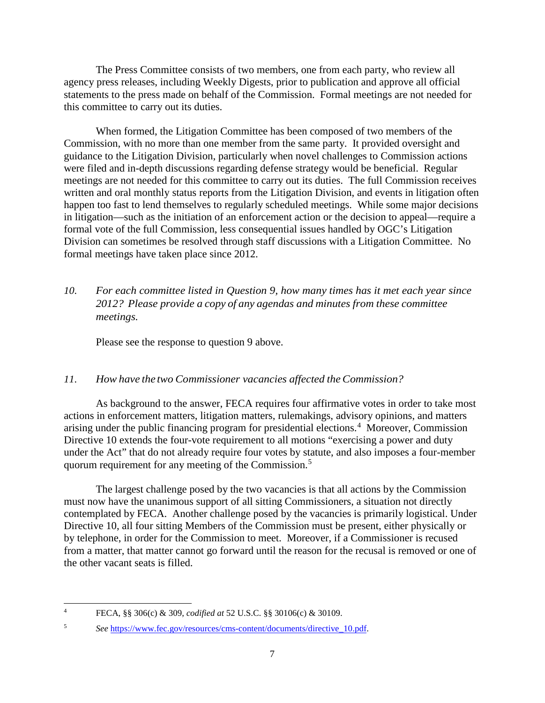The Press Committee consists of two members, one from each party, who review all agency press releases, including Weekly Digests, prior to publication and approve all official statements to the press made on behalf of the Commission. Formal meetings are not needed for this committee to carry out its duties.

When formed, the Litigation Committee has been composed of two members of the Commission, with no more than one member from the same party. It provided oversight and guidance to the Litigation Division, particularly when novel challenges to Commission actions were filed and in-depth discussions regarding defense strategy would be beneficial. Regular meetings are not needed for this committee to carry out its duties. The full Commission receives written and oral monthly status reports from the Litigation Division, and events in litigation often happen too fast to lend themselves to regularly scheduled meetings. While some major decisions in litigation—such as the initiation of an enforcement action or the decision to appeal—require a formal vote of the full Commission, less consequential issues handled by OGC's Litigation Division can sometimes be resolved through staff discussions with a Litigation Committee. No formal meetings have taken place since 2012.

# *10. For each committee listed in Question 9, how many times has it met each year since 2012? Please provide a copy of any agendas and minutes from these committee meetings.*

Please see the response to question 9 above.

## *11. How have the two Commissioner vacancies affected theCommission?*

As background to the answer, FECA requires four affirmative votes in order to take most actions in enforcement matters, litigation matters, rulemakings, advisory opinions, and matters arising under the public financing program for presidential elections.<sup>[4](#page-6-0)</sup> Moreover, Commission Directive 10 extends the four-vote requirement to all motions "exercising a power and duty under the Act" that do not already require four votes by statute, and also imposes a four-member quorum requirement for any meeting of the Commission.[5](#page-6-1)

The largest challenge posed by the two vacancies is that all actions by the Commission must now have the unanimous support of all sitting Commissioners, a situation not directly contemplated by FECA. Another challenge posed by the vacancies is primarily logistical. Under Directive 10, all four sitting Members of the Commission must be present, either physically or by telephone, in order for the Commission to meet. Moreover, if a Commissioner is recused from a matter, that matter cannot go forward until the reason for the recusal is removed or one of the other vacant seats is filled.

<span id="page-6-0"></span> <sup>4</sup> FECA, §§ 306(c) & 309, *codified at* 52 U.S.C. §§ 30106(c) & 30109.

<span id="page-6-1"></span><sup>5</sup> *See* [https://www.fec.gov/resources/cms-content/documents/directive\\_10.pdf.](https://www.fec.gov/resources/cms-content/documents/directive_10.pdf)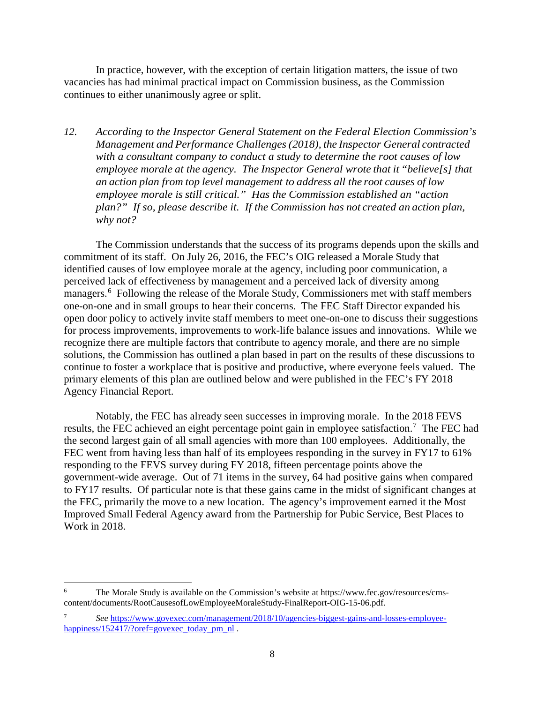In practice, however, with the exception of certain litigation matters, the issue of two vacancies has had minimal practical impact on Commission business, as the Commission continues to either unanimously agree or split.

*12. According to the Inspector General Statement on the Federal Election Commission's Management and Performance Challenges (2018), the Inspector General contracted with a consultant company to conduct a study to determine the root causes of low employee morale at the agency. The Inspector General wrote that it "believe[s] that an action plan from top level management to address all the root causes of low employee morale is still critical." Has the Commission established an "action plan?" If so, please describe it. If the Commission has not created an action plan, why not?*

The Commission understands that the success of its programs depends upon the skills and commitment of its staff. On July 26, 2016, the FEC's OIG released a Morale Study that identified causes of low employee morale at the agency, including poor communication, a perceived lack of effectiveness by management and a perceived lack of diversity among managers.<sup>[6](#page-7-0)</sup> Following the release of the Morale Study, Commissioners met with staff members one-on-one and in small groups to hear their concerns. The FEC Staff Director expanded his open door policy to actively invite staff members to meet one-on-one to discuss their suggestions for process improvements, improvements to work-life balance issues and innovations. While we recognize there are multiple factors that contribute to agency morale, and there are no simple solutions, the Commission has outlined a plan based in part on the results of these discussions to continue to foster a workplace that is positive and productive, where everyone feels valued. The primary elements of this plan are outlined below and were published in the FEC's FY 2018 Agency Financial Report.

Notably, the FEC has already seen successes in improving morale. In the 2018 FEVS results, the FEC achieved an eight percentage point gain in employee satisfaction.<sup>[7](#page-7-1)</sup> The FEC had the second largest gain of all small agencies with more than 100 employees. Additionally, the FEC went from having less than half of its employees responding in the survey in FY17 to 61% responding to the FEVS survey during FY 2018, fifteen percentage points above the government-wide average. Out of 71 items in the survey, 64 had positive gains when compared to FY17 results. Of particular note is that these gains came in the midst of significant changes at the FEC, primarily the move to a new location. The agency's improvement earned it the Most Improved Small Federal Agency award from the Partnership for Pubic Service, Best Places to Work in 2018.

<span id="page-7-0"></span> <sup>6</sup> The Morale Study is available on the Commission's website at https://www.fec.gov/resources/cmscontent/documents/RootCausesofLowEmployeeMoraleStudy-FinalReport-OIG-15-06.pdf.

<span id="page-7-1"></span><sup>7</sup> *See* [https://www.govexec.com/management/2018/10/agencies-biggest-gains-and-losses-employee](https://www.govexec.com/management/2018/10/agencies-biggest-gains-and-losses-employee-happiness/152417/?oref=govexec_today_pm_nl)[happiness/152417/?oref=govexec\\_today\\_pm\\_nl](https://www.govexec.com/management/2018/10/agencies-biggest-gains-and-losses-employee-happiness/152417/?oref=govexec_today_pm_nl).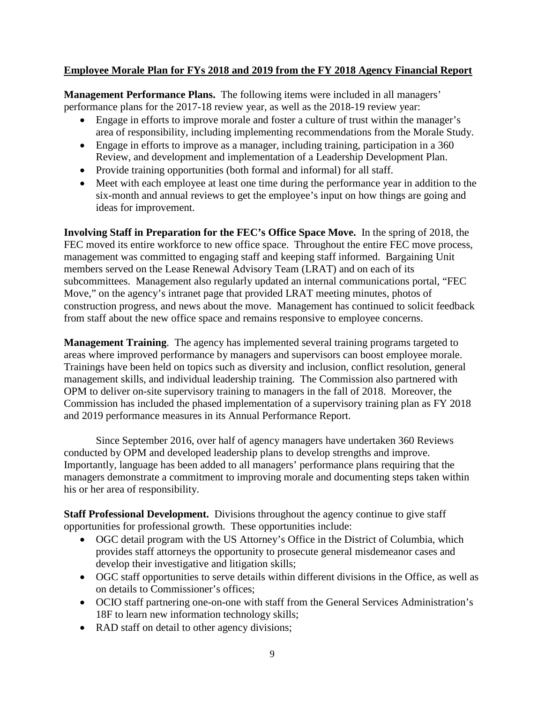## **Employee Morale Plan for FYs 2018 and 2019 from the FY 2018 Agency Financial Report**

**Management Performance Plans.** The following items were included in all managers' performance plans for the 2017-18 review year, as well as the 2018-19 review year:

- Engage in efforts to improve morale and foster a culture of trust within the manager's area of responsibility, including implementing recommendations from the Morale Study.
- Engage in efforts to improve as a manager, including training, participation in a 360 Review, and development and implementation of a Leadership Development Plan.
- Provide training opportunities (both formal and informal) for all staff.
- Meet with each employee at least one time during the performance year in addition to the six-month and annual reviews to get the employee's input on how things are going and ideas for improvement.

**Involving Staff in Preparation for the FEC's Office Space Move.** In the spring of 2018, the FEC moved its entire workforce to new office space. Throughout the entire FEC move process, management was committed to engaging staff and keeping staff informed. Bargaining Unit members served on the Lease Renewal Advisory Team (LRAT) and on each of its subcommittees. Management also regularly updated an internal communications portal, "FEC Move," on the agency's intranet page that provided LRAT meeting minutes, photos of construction progress, and news about the move. Management has continued to solicit feedback from staff about the new office space and remains responsive to employee concerns.

**Management Training**. The agency has implemented several training programs targeted to areas where improved performance by managers and supervisors can boost employee morale. Trainings have been held on topics such as diversity and inclusion, conflict resolution, general management skills, and individual leadership training. The Commission also partnered with OPM to deliver on-site supervisory training to managers in the fall of 2018. Moreover, the Commission has included the phased implementation of a supervisory training plan as FY 2018 and 2019 performance measures in its Annual Performance Report.

Since September 2016, over half of agency managers have undertaken 360 Reviews conducted by OPM and developed leadership plans to develop strengths and improve. Importantly, language has been added to all managers' performance plans requiring that the managers demonstrate a commitment to improving morale and documenting steps taken within his or her area of responsibility.

**Staff Professional Development.** Divisions throughout the agency continue to give staff opportunities for professional growth. These opportunities include:

- OGC detail program with the US Attorney's Office in the District of Columbia, which provides staff attorneys the opportunity to prosecute general misdemeanor cases and develop their investigative and litigation skills;
- OGC staff opportunities to serve details within different divisions in the Office, as well as on details to Commissioner's offices;
- OCIO staff partnering one-on-one with staff from the General Services Administration's 18F to learn new information technology skills;
- RAD staff on detail to other agency divisions;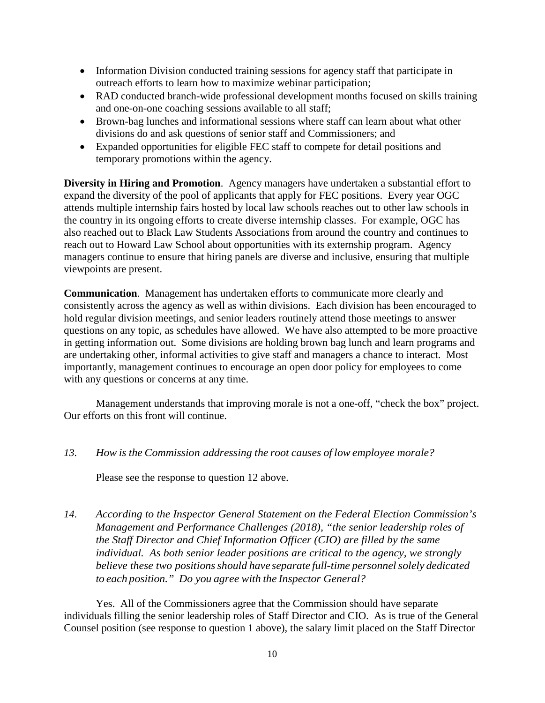- Information Division conducted training sessions for agency staff that participate in outreach efforts to learn how to maximize webinar participation;
- RAD conducted branch-wide professional development months focused on skills training and one-on-one coaching sessions available to all staff;
- Brown-bag lunches and informational sessions where staff can learn about what other divisions do and ask questions of senior staff and Commissioners; and
- Expanded opportunities for eligible FEC staff to compete for detail positions and temporary promotions within the agency.

**Diversity in Hiring and Promotion**. Agency managers have undertaken a substantial effort to expand the diversity of the pool of applicants that apply for FEC positions. Every year OGC attends multiple internship fairs hosted by local law schools reaches out to other law schools in the country in its ongoing efforts to create diverse internship classes. For example, OGC has also reached out to Black Law Students Associations from around the country and continues to reach out to Howard Law School about opportunities with its externship program. Agency managers continue to ensure that hiring panels are diverse and inclusive, ensuring that multiple viewpoints are present.

**Communication**. Management has undertaken efforts to communicate more clearly and consistently across the agency as well as within divisions. Each division has been encouraged to hold regular division meetings, and senior leaders routinely attend those meetings to answer questions on any topic, as schedules have allowed. We have also attempted to be more proactive in getting information out. Some divisions are holding brown bag lunch and learn programs and are undertaking other, informal activities to give staff and managers a chance to interact. Most importantly, management continues to encourage an open door policy for employees to come with any questions or concerns at any time.

Management understands that improving morale is not a one-off, "check the box" project. Our efforts on this front will continue.

*13. How is the Commission addressing the root causes of low employee morale?*

Please see the response to question 12 above.

*14. According to the Inspector General Statement on the Federal Election Commission's Management and Performance Challenges (2018), "the senior leadership roles of the Staff Director and Chief Information Officer (CIO) are filled by the same individual. As both senior leader positions are critical to the agency, we strongly believe these two positionsshould have separate full-time personnelsolely dedicated to each position." Do you agree with the Inspector General?*

Yes. All of the Commissioners agree that the Commission should have separate individuals filling the senior leadership roles of Staff Director and CIO. As is true of the General Counsel position (see response to question 1 above), the salary limit placed on the Staff Director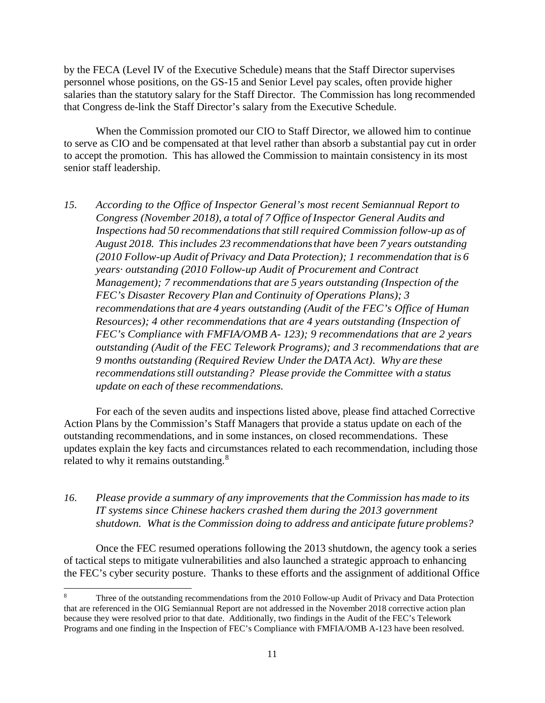by the FECA (Level IV of the Executive Schedule) means that the Staff Director supervises personnel whose positions, on the GS-15 and Senior Level pay scales, often provide higher salaries than the statutory salary for the Staff Director. The Commission has long recommended that Congress de-link the Staff Director's salary from the Executive Schedule.

When the Commission promoted our CIO to Staff Director, we allowed him to continue to serve as CIO and be compensated at that level rather than absorb a substantial pay cut in order to accept the promotion. This has allowed the Commission to maintain consistency in its most senior staff leadership.

*15. According to the Office of Inspector General's most recent Semiannual Report to Congress (November 2018), a total of 7 Office of Inspector General Audits and Inspections had 50 recommendationsthat stillrequired Commission follow-up as of August 2018. Thisincludes 23 recommendationsthat have been 7 years outstanding (2010 Follow-up Audit of Privacy and Data Protection); 1 recommendation that is 6 years· outstanding (2010 Follow-up Audit of Procurement and Contract Management); 7 recommendationsthat are 5 years outstanding (Inspection of the FEC's Disaster Recovery Plan and Continuity of Operations Plans); 3 recommendationsthat are 4 years outstanding (Audit of the FEC's Office of Human Resources); 4 other recommendations that are 4 years outstanding (Inspection of FEC's Compliance with FMFIA/OMB A- 123); 9 recommendations that are 2 years outstanding (Audit of the FEC Telework Programs); and 3 recommendations that are 9 months outstanding (Required Review Under the DATA Act). Why are these recommendationsstill outstanding? Please provide the Committee with a status update on each of these recommendations.*

For each of the seven audits and inspections listed above, please find attached Corrective Action Plans by the Commission's Staff Managers that provide a status update on each of the outstanding recommendations, and in some instances, on closed recommendations. These updates explain the key facts and circumstances related to each recommendation, including those related to why it remains outstanding.<sup>[8](#page-10-0)</sup>

*16. Please provide a summary of any improvements that the Commission has made to its IT systems since Chinese hackers crashed them during the 2013 government shutdown. What isthe Commission doing to address and anticipate future problems?*

Once the FEC resumed operations following the 2013 shutdown, the agency took a series of tactical steps to mitigate vulnerabilities and also launched a strategic approach to enhancing the FEC's cyber security posture. Thanks to these efforts and the assignment of additional Office

<span id="page-10-0"></span>Three of the outstanding recommendations from the 2010 Follow-up Audit of Privacy and Data Protection that are referenced in the OIG Semiannual Report are not addressed in the November 2018 corrective action plan because they were resolved prior to that date. Additionally, two findings in the Audit of the FEC's Telework Programs and one finding in the Inspection of FEC's Compliance with FMFIA/OMB A-123 have been resolved.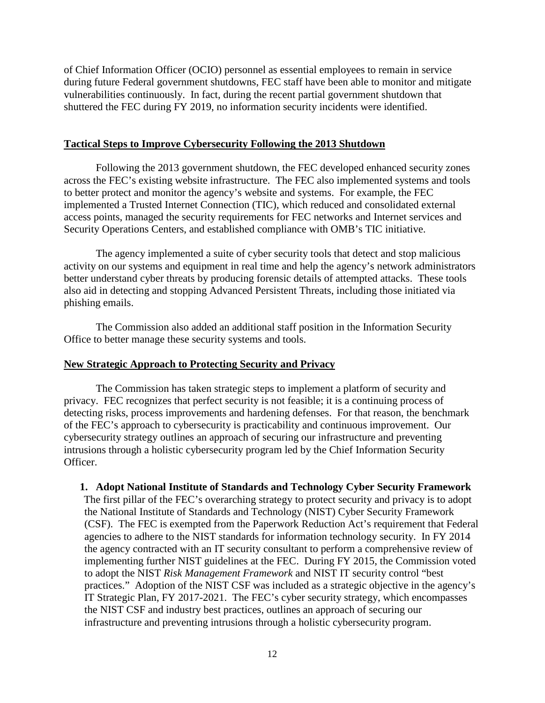of Chief Information Officer (OCIO) personnel as essential employees to remain in service during future Federal government shutdowns, FEC staff have been able to monitor and mitigate vulnerabilities continuously. In fact, during the recent partial government shutdown that shuttered the FEC during FY 2019, no information security incidents were identified.

#### **Tactical Steps to Improve Cybersecurity Following the 2013 Shutdown**

Following the 2013 government shutdown, the FEC developed enhanced security zones across the FEC's existing website infrastructure. The FEC also implemented systems and tools to better protect and monitor the agency's website and systems. For example, the FEC implemented a Trusted Internet Connection (TIC), which reduced and consolidated external access points, managed the security requirements for FEC networks and Internet services and Security Operations Centers, and established compliance with OMB's TIC initiative.

The agency implemented a suite of cyber security tools that detect and stop malicious activity on our systems and equipment in real time and help the agency's network administrators better understand cyber threats by producing forensic details of attempted attacks. These tools also aid in detecting and stopping Advanced Persistent Threats, including those initiated via phishing emails.

The Commission also added an additional staff position in the Information Security Office to better manage these security systems and tools.

### **New Strategic Approach to Protecting Security and Privacy**

The Commission has taken strategic steps to implement a platform of security and privacy. FEC recognizes that perfect security is not feasible; it is a continuing process of detecting risks, process improvements and hardening defenses. For that reason, the benchmark of the FEC's approach to cybersecurity is practicability and continuous improvement. Our cybersecurity strategy outlines an approach of securing our infrastructure and preventing intrusions through a holistic cybersecurity program led by the Chief Information Security Officer.

#### **1. Adopt National Institute of Standards and Technology Cyber Security Framework**

The first pillar of the FEC's overarching strategy to protect security and privacy is to adopt the National Institute of Standards and Technology (NIST) Cyber Security Framework (CSF). The FEC is exempted from the Paperwork Reduction Act's requirement that Federal agencies to adhere to the NIST standards for information technology security. In FY 2014 the agency contracted with an IT security consultant to perform a comprehensive review of implementing further NIST guidelines at the FEC. During FY 2015, the Commission voted to adopt the NIST *Risk Management Framework* and NIST IT security control "best practices." Adoption of the NIST CSF was included as a strategic objective in the agency's IT Strategic Plan, FY 2017-2021. The FEC's cyber security strategy, which encompasses the NIST CSF and industry best practices, outlines an approach of securing our infrastructure and preventing intrusions through a holistic cybersecurity program.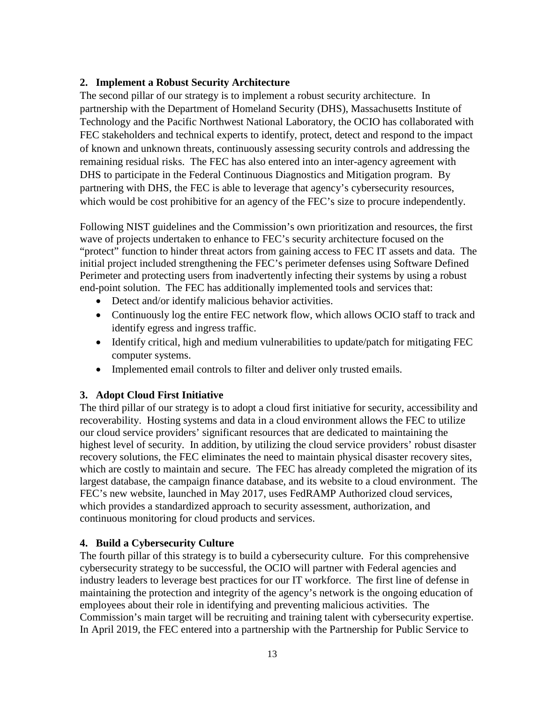## **2. Implement a Robust Security Architecture**

The second pillar of our strategy is to implement a robust security architecture. In partnership with the Department of Homeland Security (DHS), Massachusetts Institute of Technology and the Pacific Northwest National Laboratory, the OCIO has collaborated with FEC stakeholders and technical experts to identify, protect, detect and respond to the impact of known and unknown threats, continuously assessing security controls and addressing the remaining residual risks. The FEC has also entered into an inter-agency agreement with DHS to participate in the Federal Continuous Diagnostics and Mitigation program. By partnering with DHS, the FEC is able to leverage that agency's cybersecurity resources, which would be cost prohibitive for an agency of the FEC's size to procure independently.

Following NIST guidelines and the Commission's own prioritization and resources, the first wave of projects undertaken to enhance to FEC's security architecture focused on the "protect" function to hinder threat actors from gaining access to FEC IT assets and data. The initial project included strengthening the FEC's perimeter defenses using Software Defined Perimeter and protecting users from inadvertently infecting their systems by using a robust end-point solution. The FEC has additionally implemented tools and services that:

- Detect and/or identify malicious behavior activities.
- Continuously log the entire FEC network flow, which allows OCIO staff to track and identify egress and ingress traffic.
- Identify critical, high and medium vulnerabilities to update/patch for mitigating FEC computer systems.
- Implemented email controls to filter and deliver only trusted emails.

## **3. Adopt Cloud First Initiative**

The third pillar of our strategy is to adopt a cloud first initiative for security, accessibility and recoverability. Hosting systems and data in a cloud environment allows the FEC to utilize our cloud service providers' significant resources that are dedicated to maintaining the highest level of security. In addition, by utilizing the cloud service providers' robust disaster recovery solutions, the FEC eliminates the need to maintain physical disaster recovery sites, which are costly to maintain and secure. The FEC has already completed the migration of its largest database, the campaign finance database, and its website to a cloud environment. The FEC's new website, launched in May 2017, uses FedRAMP Authorized cloud services, which provides a standardized approach to security assessment, authorization, and continuous monitoring for cloud products and services.

## **4. Build a Cybersecurity Culture**

The fourth pillar of this strategy is to build a cybersecurity culture. For this comprehensive cybersecurity strategy to be successful, the OCIO will partner with Federal agencies and industry leaders to leverage best practices for our IT workforce. The first line of defense in maintaining the protection and integrity of the agency's network is the ongoing education of employees about their role in identifying and preventing malicious activities. The Commission's main target will be recruiting and training talent with cybersecurity expertise. In April 2019, the FEC entered into a partnership with the Partnership for Public Service to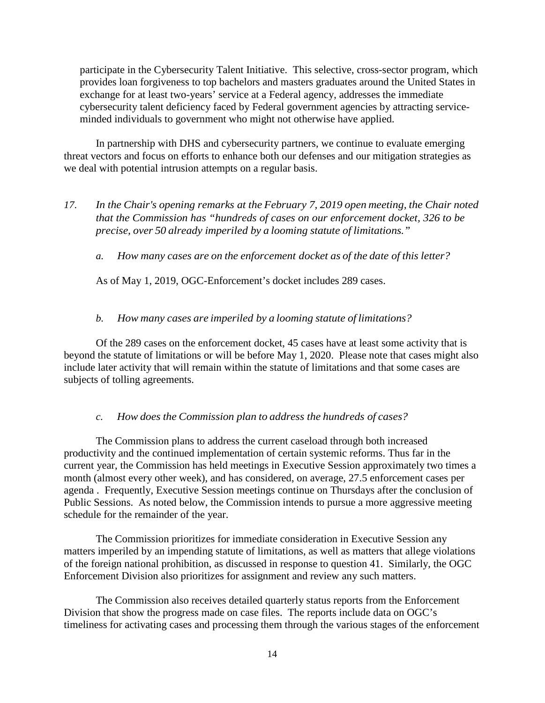participate in the Cybersecurity Talent Initiative. This selective, cross-sector program, which provides loan forgiveness to top bachelors and masters graduates around the United States in exchange for at least two-years' service at a Federal agency, addresses the immediate cybersecurity talent deficiency faced by Federal government agencies by attracting serviceminded individuals to government who might not otherwise have applied.

In partnership with DHS and cybersecurity partners, we continue to evaluate emerging threat vectors and focus on efforts to enhance both our defenses and our mitigation strategies as we deal with potential intrusion attempts on a regular basis.

- *17. In the Chair's opening remarks at the February 7, 2019 open meeting, the Chair noted that the Commission has "hundreds of cases on our enforcement docket, 326 to be precise, over 50 already imperiled by a looming statute of limitations."*
	- *a. How many cases are on the enforcement docket as of the date of this letter?*

As of May 1, 2019, OGC-Enforcement's docket includes 289 cases.

#### *b. How many cases are imperiled by a looming statute of limitations?*

Of the 289 cases on the enforcement docket, 45 cases have at least some activity that is beyond the statute of limitations or will be before May 1, 2020. Please note that cases might also include later activity that will remain within the statute of limitations and that some cases are subjects of tolling agreements.

#### *c. How does the Commission plan to address the hundreds of cases?*

The Commission plans to address the current caseload through both increased productivity and the continued implementation of certain systemic reforms. Thus far in the current year, the Commission has held meetings in Executive Session approximately two times a month (almost every other week), and has considered, on average, 27.5 enforcement cases per agenda . Frequently, Executive Session meetings continue on Thursdays after the conclusion of Public Sessions. As noted below, the Commission intends to pursue a more aggressive meeting schedule for the remainder of the year.

The Commission prioritizes for immediate consideration in Executive Session any matters imperiled by an impending statute of limitations, as well as matters that allege violations of the foreign national prohibition, as discussed in response to question 41. Similarly, the OGC Enforcement Division also prioritizes for assignment and review any such matters.

The Commission also receives detailed quarterly status reports from the Enforcement Division that show the progress made on case files. The reports include data on OGC's timeliness for activating cases and processing them through the various stages of the enforcement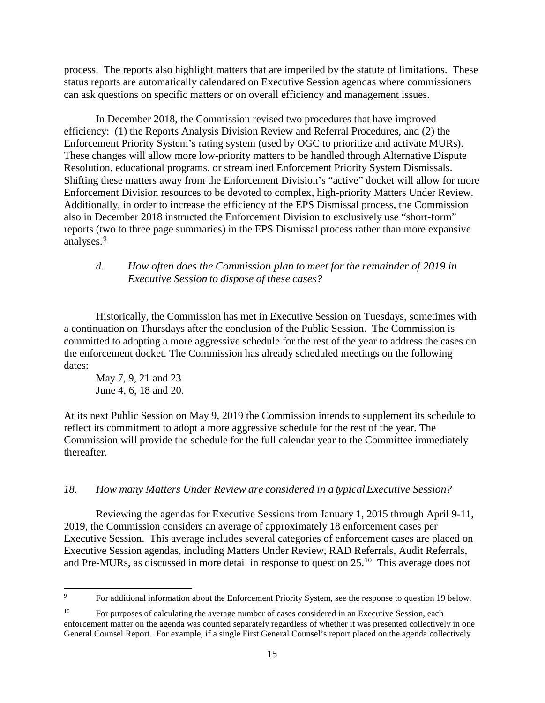process. The reports also highlight matters that are imperiled by the statute of limitations. These status reports are automatically calendared on Executive Session agendas where commissioners can ask questions on specific matters or on overall efficiency and management issues.

In December 2018, the Commission revised two procedures that have improved efficiency: (1) the Reports Analysis Division Review and Referral Procedures, and (2) the Enforcement Priority System's rating system (used by OGC to prioritize and activate MURs). These changes will allow more low-priority matters to be handled through Alternative Dispute Resolution, educational programs, or streamlined Enforcement Priority System Dismissals. Shifting these matters away from the Enforcement Division's "active" docket will allow for more Enforcement Division resources to be devoted to complex, high-priority Matters Under Review. Additionally, in order to increase the efficiency of the EPS Dismissal process, the Commission also in December 2018 instructed the Enforcement Division to exclusively use "short-form" reports (two to three page summaries) in the EPS Dismissal process rather than more expansive analyses.<sup>[9](#page-14-0)</sup>

## *d. How often does the Commission plan to meet for the remainder of 2019 in Executive Session to dispose of these cases?*

Historically, the Commission has met in Executive Session on Tuesdays, sometimes with a continuation on Thursdays after the conclusion of the Public Session. The Commission is committed to adopting a more aggressive schedule for the rest of the year to address the cases on the enforcement docket. The Commission has already scheduled meetings on the following dates:

May 7, 9, 21 and 23 June 4, 6, 18 and 20.

At its next Public Session on May 9, 2019 the Commission intends to supplement its schedule to reflect its commitment to adopt a more aggressive schedule for the rest of the year. The Commission will provide the schedule for the full calendar year to the Committee immediately thereafter.

### *18. How many Matters Under Review are considered in a typicalExecutive Session?*

Reviewing the agendas for Executive Sessions from January 1, 2015 through April 9-11, 2019, the Commission considers an average of approximately 18 enforcement cases per Executive Session. This average includes several categories of enforcement cases are placed on Executive Session agendas, including Matters Under Review, RAD Referrals, Audit Referrals, and Pre-MURs, as discussed in more detail in response to question 25.[10](#page-14-1) This average does not

<span id="page-14-0"></span><sup>&</sup>lt;sup>9</sup> For additional information about the Enforcement Priority System, see the response to question 19 below.

<span id="page-14-1"></span><sup>&</sup>lt;sup>10</sup> For purposes of calculating the average number of cases considered in an Executive Session, each enforcement matter on the agenda was counted separately regardless of whether it was presented collectively in one General Counsel Report. For example, if a single First General Counsel's report placed on the agenda collectively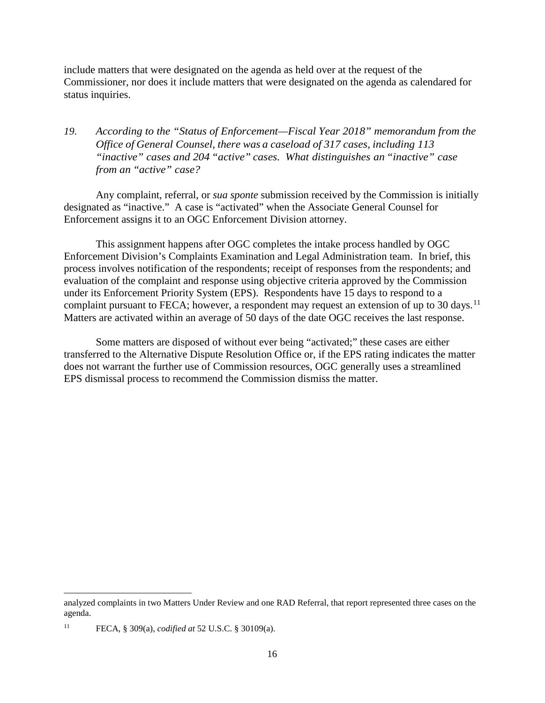include matters that were designated on the agenda as held over at the request of the Commissioner, nor does it include matters that were designated on the agenda as calendared for status inquiries.

*19. According to the "Status of Enforcement—Fiscal Year 2018" memorandum from the Office of General Counsel, there was a caseload of 317 cases, including 113 "inactive" cases and 204 "active" cases. What distinguishes an "inactive" case from an "active" case?*

Any complaint, referral, or *sua sponte* submission received by the Commission is initially designated as "inactive." A case is "activated" when the Associate General Counsel for Enforcement assigns it to an OGC Enforcement Division attorney.

This assignment happens after OGC completes the intake process handled by OGC Enforcement Division's Complaints Examination and Legal Administration team. In brief, this process involves notification of the respondents; receipt of responses from the respondents; and evaluation of the complaint and response using objective criteria approved by the Commission under its Enforcement Priority System (EPS). Respondents have 15 days to respond to a complaint pursuant to FECA; however, a respondent may request an extension of up to 30 days.<sup>11</sup> Matters are activated within an average of 50 days of the date OGC receives the last response.

Some matters are disposed of without ever being "activated;" these cases are either transferred to the Alternative Dispute Resolution Office or, if the EPS rating indicates the matter does not warrant the further use of Commission resources, OGC generally uses a streamlined EPS dismissal process to recommend the Commission dismiss the matter.

<u>.</u>

analyzed complaints in two Matters Under Review and one RAD Referral, that report represented three cases on the agenda.

<span id="page-15-0"></span><sup>11</sup> FECA, § 309(a), *codified at* 52 U.S.C. § 30109(a).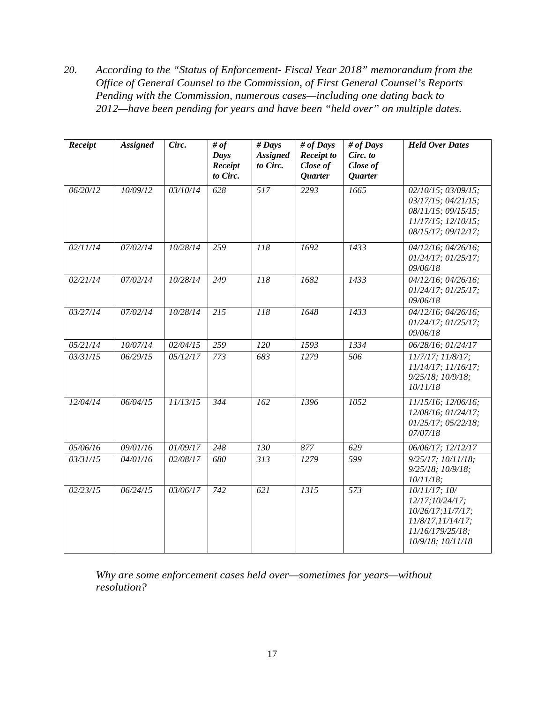*20. According to the "Status of Enforcement- Fiscal Year 2018" memorandum from the Office of General Counsel to the Commission, of First General Counsel's Reports Pending with the Commission, numerous cases—including one dating back to 2012—have been pending for years and have been "held over" on multiple dates.* 

| Receipt  | <b>Assigned</b> | Circ.    | # of<br>Days<br>Receipt<br>to Circ. | $#$ Days<br><b>Assigned</b><br>to Circ. | # of Days<br><b>Receipt to</b><br>Close of<br>Quarter | # of Days<br>Circ. to<br>Close of<br>Quarter | <b>Held Over Dates</b>                                                                                                      |
|----------|-----------------|----------|-------------------------------------|-----------------------------------------|-------------------------------------------------------|----------------------------------------------|-----------------------------------------------------------------------------------------------------------------------------|
| 06/20/12 | 10/09/12        | 03/10/14 | 628                                 | $\overline{517}$                        | 2293                                                  | 1665                                         | $02/10/15$ ; $03/09/15$ ;<br>$03/17/15$ ; $04/21/15$ ;<br>08/11/15; 09/15/15;<br>11/17/15; 12/10/15;<br>08/15/17; 09/12/17; |
| 02/11/14 | 07/02/14        | 10/28/14 | 259                                 | 118                                     | 1692                                                  | 1433                                         | 04/12/16; 04/26/16;<br>$01/24/17$ ; $01/25/17$ ;<br>09/06/18                                                                |
| 02/21/14 | 07/02/14        | 10/28/14 | $\overline{249}$                    | 118                                     | 1682                                                  | 1433                                         | $04/12/16$ ; $04/26/16$ ;<br>01/24/17; 01/25/17;<br>09/06/18                                                                |
| 03/27/14 | 07/02/14        | 10/28/14 | 215                                 | 118                                     | 1648                                                  | 1433                                         | 04/12/16; 04/26/16;<br>$01/24/17$ ; $01/25/17$ ;<br>09/06/18                                                                |
| 05/21/14 | 10/07/14        | 02/04/15 | 259                                 | $\overline{120}$                        | 1593                                                  | 1334                                         | 06/28/16; 01/24/17                                                                                                          |
| 03/31/15 | 06/29/15        | 05/12/17 | 773                                 | 683                                     | 1279                                                  | 506                                          | $11/7/17$ ; $11/8/17$ ;<br>11/14/17; 11/16/17;<br>$9/25/18$ ; $10/9/18$ ;<br>10/11/18                                       |
| 12/04/14 | 06/04/15        | 11/13/15 | 344                                 | 162                                     | 1396                                                  | 1052                                         | 11/15/16; 12/06/16;<br>12/08/16; 01/24/17;<br>$01/25/17$ ; $05/22/18$ ;<br>07/07/18                                         |
| 05/06/16 | 09/01/16        | 01/09/17 | $\sqrt{248}$                        | $\overline{130}$                        | $\overline{877}$                                      | 629                                          | 06/06/17; 12/12/17                                                                                                          |
| 03/31/15 | 04/01/16        | 02/08/17 | 680                                 | 313                                     | 1279                                                  | 599                                          | $9/25/17$ ; $10/11/18$ ;<br>$9/25/18$ ; $10/9/18$ ;<br>$10/11/18$ ;                                                         |
| 02/23/15 | 06/24/15        | 03/06/17 | 742                                 | 621                                     | 1315                                                  | $\overline{573}$                             | 10/11/17; 10/<br>12/17;10/24/17;<br>10/26/17;11/7/17;<br>11/8/17,11/14/17;<br>11/16/179/25/18:<br>10/9/18; 10/11/18         |

*Why are some enforcement cases held over—sometimes for years—without resolution?*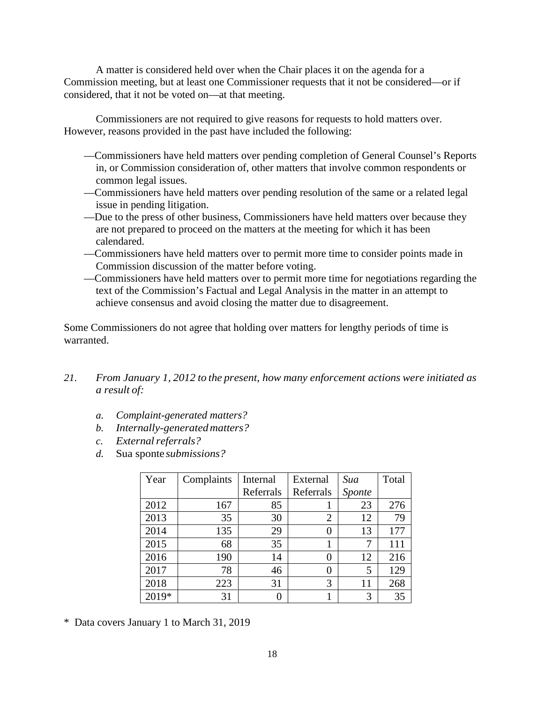A matter is considered held over when the Chair places it on the agenda for a Commission meeting, but at least one Commissioner requests that it not be considered—or if considered, that it not be voted on—at that meeting.

Commissioners are not required to give reasons for requests to hold matters over. However, reasons provided in the past have included the following:

- —Commissioners have held matters over pending completion of General Counsel's Reports in, or Commission consideration of, other matters that involve common respondents or common legal issues.
- —Commissioners have held matters over pending resolution of the same or a related legal issue in pending litigation.
- —Due to the press of other business, Commissioners have held matters over because they are not prepared to proceed on the matters at the meeting for which it has been calendared.
- —Commissioners have held matters over to permit more time to consider points made in Commission discussion of the matter before voting.
- —Commissioners have held matters over to permit more time for negotiations regarding the text of the Commission's Factual and Legal Analysis in the matter in an attempt to achieve consensus and avoid closing the matter due to disagreement.

Some Commissioners do not agree that holding over matters for lengthy periods of time is warranted.

- *21. From January 1, 2012 to the present, how many enforcement actions were initiated as a result of:*
	- *a. Complaint-generated matters?*
	- *b. Internally-generatedmatters?*
	- *c. External referrals?*
	- *d.* Sua sponte *submissions?*

| Year  | Complaints | Internal  | External  | Sua    | Total |
|-------|------------|-----------|-----------|--------|-------|
|       |            | Referrals | Referrals | Sponte |       |
| 2012  | 167        | 85        |           | 23     | 276   |
| 2013  | 35         | 30        | 2         | 12     | 79    |
| 2014  | 135        | 29        | 0         | 13     | 177   |
| 2015  | 68         | 35        |           | 7      | 111   |
| 2016  | 190        | 14        | 0         | 12     | 216   |
| 2017  | 78         | 46        | 0         | 5      | 129   |
| 2018  | 223        | 31        | 3         | 11     | 268   |
| 2019* | 31         | 0         |           | 3      | 35    |

\* Data covers January 1 to March 31, 2019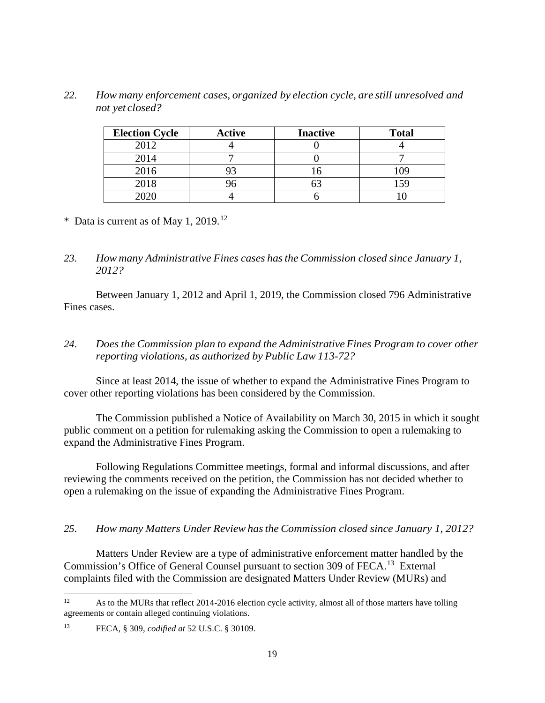*22. How many enforcement cases, organized by election cycle, are still unresolved and not yet closed?*

| <b>Election Cycle</b> | <b>Active</b> | <b>Inactive</b> | <b>Total</b> |
|-----------------------|---------------|-----------------|--------------|
| 2012                  |               |                 |              |
| 2014                  |               |                 |              |
| 2016                  |               |                 |              |
| 2018                  |               |                 |              |
| 2020                  |               |                 |              |

\* Data is current as of May 1, 2019.<sup>[12](#page-18-0)</sup>

## *23. How many Administrative Fines cases hasthe Commission closed since January 1, 2012?*

Between January 1, 2012 and April 1, 2019, the Commission closed 796 Administrative Fines cases.

## *24. Does the Commission plan to expand the AdministrativeFines Program to cover other reporting violations, as authorized by Public Law 113-72?*

Since at least 2014, the issue of whether to expand the Administrative Fines Program to cover other reporting violations has been considered by the Commission.

The Commission published a Notice of Availability on March 30, 2015 in which it sought public comment on a petition for rulemaking asking the Commission to open a rulemaking to expand the Administrative Fines Program.

Following Regulations Committee meetings, formal and informal discussions, and after reviewing the comments received on the petition, the Commission has not decided whether to open a rulemaking on the issue of expanding the Administrative Fines Program.

## *25. How many Matters Under Review hasthe Commission closed since January 1, 2012?*

Matters Under Review are a type of administrative enforcement matter handled by the Commission's Office of General Counsel pursuant to section 309 of FECA.<sup>[13](#page-18-1)</sup> External complaints filed with the Commission are designated Matters Under Review (MURs) and

<span id="page-18-0"></span><sup>&</sup>lt;sup>12</sup> As to the MURs that reflect 2014-2016 election cycle activity, almost all of those matters have tolling agreements or contain alleged continuing violations.

<span id="page-18-1"></span><sup>13</sup> FECA, § 309, *codified at* 52 U.S.C. § 30109.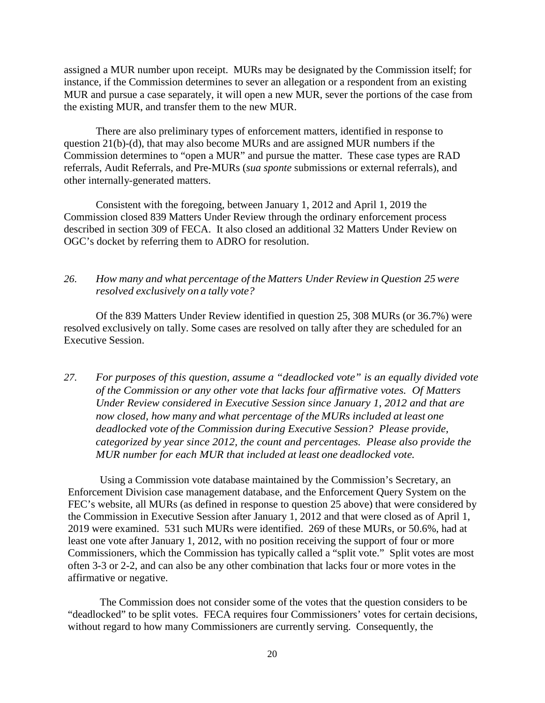assigned a MUR number upon receipt. MURs may be designated by the Commission itself; for instance, if the Commission determines to sever an allegation or a respondent from an existing MUR and pursue a case separately, it will open a new MUR, sever the portions of the case from the existing MUR, and transfer them to the new MUR.

There are also preliminary types of enforcement matters, identified in response to question 21(b)-(d), that may also become MURs and are assigned MUR numbers if the Commission determines to "open a MUR" and pursue the matter. These case types are RAD referrals, Audit Referrals, and Pre-MURs (*sua sponte* submissions or external referrals), and other internally-generated matters.

Consistent with the foregoing, between January 1, 2012 and April 1, 2019 the Commission closed 839 Matters Under Review through the ordinary enforcement process described in section 309 of FECA. It also closed an additional 32 Matters Under Review on OGC's docket by referring them to ADRO for resolution.

### *26. How many and what percentage of the Matters Under Review in Question 25 were resolved exclusively on a tally vote?*

Of the 839 Matters Under Review identified in question 25, 308 MURs (or 36.7%) were resolved exclusively on tally. Some cases are resolved on tally after they are scheduled for an Executive Session.

*27. For purposes of this question, assume a "deadlocked vote" is an equally divided vote of the Commission or any other vote that lacks four affirmative votes. Of Matters Under Review considered in Executive Session since January 1, 2012 and that are now closed, how many and what percentage of the MURs included at least one deadlocked vote of the Commission during Executive Session? Please provide, categorized by year since 2012, the count and percentages. Please also provide the MUR number for each MUR that included at least one deadlocked vote.*

Using a Commission vote database maintained by the Commission's Secretary, an Enforcement Division case management database, and the Enforcement Query System on the FEC's website, all MURs (as defined in response to question 25 above) that were considered by the Commission in Executive Session after January 1, 2012 and that were closed as of April 1, 2019 were examined. 531 such MURs were identified. 269 of these MURs, or 50.6%, had at least one vote after January 1, 2012, with no position receiving the support of four or more Commissioners, which the Commission has typically called a "split vote." Split votes are most often 3-3 or 2-2, and can also be any other combination that lacks four or more votes in the affirmative or negative.

The Commission does not consider some of the votes that the question considers to be "deadlocked" to be split votes. FECA requires four Commissioners' votes for certain decisions, without regard to how many Commissioners are currently serving. Consequently, the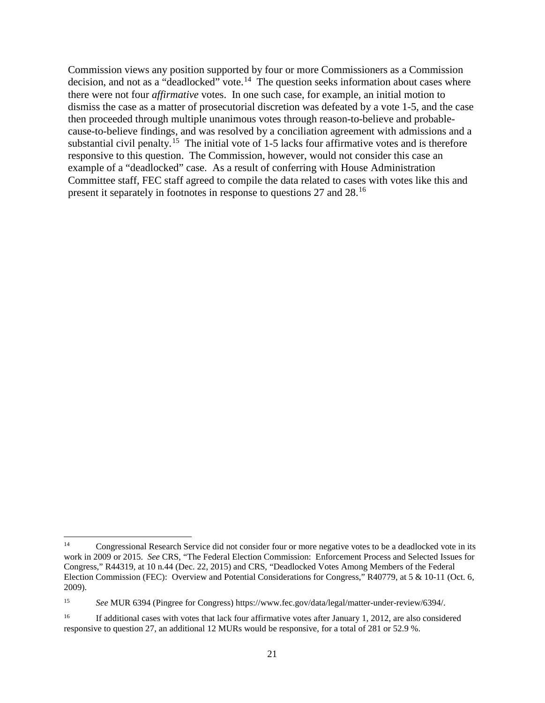Commission views any position supported by four or more Commissioners as a Commission decision, and not as a "deadlocked" vote.<sup>[14](#page-20-0)</sup> The question seeks information about cases where there were not four *affirmative* votes. In one such case, for example, an initial motion to dismiss the case as a matter of prosecutorial discretion was defeated by a vote 1-5, and the case then proceeded through multiple unanimous votes through reason-to-believe and probablecause-to-believe findings, and was resolved by a conciliation agreement with admissions and a substantial civil penalty.<sup>[15](#page-20-1)</sup> The initial vote of 1-5 lacks four affirmative votes and is therefore responsive to this question. The Commission, however, would not consider this case an example of a "deadlocked" case. As a result of conferring with House Administration Committee staff, FEC staff agreed to compile the data related to cases with votes like this and present it separately in footnotes in response to questions 27 and 28.[16](#page-20-2)

<span id="page-20-0"></span><sup>&</sup>lt;sup>14</sup> Congressional Research Service did not consider four or more negative votes to be a deadlocked vote in its work in 2009 or 2015. *See* CRS, "The Federal Election Commission: Enforcement Process and Selected Issues for Congress," R44319, at 10 n.44 (Dec. 22, 2015) and CRS, "Deadlocked Votes Among Members of the Federal Election Commission (FEC): Overview and Potential Considerations for Congress," R40779, at 5 & 10-11 (Oct. 6, 2009).

<span id="page-20-1"></span><sup>15</sup> *See* MUR 6394 (Pingree for Congress) https://www.fec.gov/data/legal/matter-under-review/6394/.

<span id="page-20-2"></span><sup>&</sup>lt;sup>16</sup> If additional cases with votes that lack four affirmative votes after January 1, 2012, are also considered responsive to question 27, an additional 12 MURs would be responsive, for a total of 281 or 52.9 %.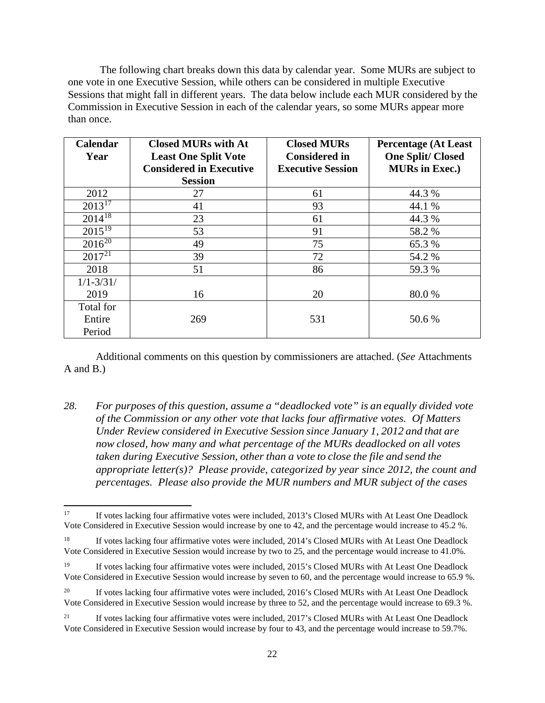The following chart breaks down this data by calendar year. Some MURs are subject to one vote in one Executive Session, while others can be considered in multiple Executive Sessions that might fall in different years. The data below include each MUR considered by the Commission in Executive Session in each of the calendar years, so some MURs appear more than once.

| Calendar               | <b>Closed MURs with At</b>     | <b>Closed MURs</b>       | <b>Percentage (At Least</b> |
|------------------------|--------------------------------|--------------------------|-----------------------------|
| Year                   | <b>Least One Split Vote</b>    | <b>Considered in</b>     | <b>One Split/Closed</b>     |
|                        | <b>Considered in Executive</b> | <b>Executive Session</b> | <b>MURs in Exec.)</b>       |
|                        | <b>Session</b>                 |                          |                             |
| 2012                   | 27                             | 61                       | 44.3 %                      |
| $2013^{17}$            | 41                             | 93                       | 44.1 %                      |
| $2014^{18}$            | 23                             | 61                       | 44.3 %                      |
| $201\overline{5^{19}}$ | 53                             | 91                       | 58.2 %                      |
| $2016^{20}$            | 49                             | 75                       | 65.3 %                      |
| $201\overline{7^{21}}$ | 39                             | 72                       | 54.2 %                      |
| 2018                   | 51                             | 86                       | 59.3 %                      |
| $1/1 - 3/31/$          |                                |                          |                             |
| 2019                   | 16                             | 20                       | 80.0%                       |
| Total for              |                                |                          |                             |
| Entire                 | 269                            | 531                      | 50.6 %                      |
| Period                 |                                |                          |                             |

Additional comments on this question by commissioners are attached. (*See* Attachments A and B.)

*28. For purposes of this question, assume a "deadlocked vote" is an equally divided vote of the Commission or any other vote that lacks four affirmative votes. Of Matters Under Review considered in Executive Session since January 1, 2012 and that are now closed, how many and what percentage of the MURs deadlocked on all votes taken during Executive Session, other than a vote to close the file and send the appropriate letter(s)? Please provide, categorized by year since 2012, the count and percentages. Please also provide the MUR numbers and MUR subject of the cases* 

<span id="page-21-0"></span><sup>&</sup>lt;sup>17</sup> If votes lacking four affirmative votes were included, 2013's Closed MURs with At Least One Deadlock Vote Considered in Executive Session would increase by one to 42, and the percentage would increase to 45.2 %.

<span id="page-21-1"></span><sup>&</sup>lt;sup>18</sup> If votes lacking four affirmative votes were included, 2014's Closed MURs with At Least One Deadlock Vote Considered in Executive Session would increase by two to 25, and the percentage would increase to 41.0%.

<span id="page-21-2"></span><sup>&</sup>lt;sup>19</sup> If votes lacking four affirmative votes were included, 2015's Closed MURs with At Least One Deadlock Vote Considered in Executive Session would increase by seven to 60, and the percentage would increase to 65.9 %.

<span id="page-21-3"></span><sup>&</sup>lt;sup>20</sup> If votes lacking four affirmative votes were included, 2016's Closed MURs with At Least One Deadlock Vote Considered in Executive Session would increase by three to 52, and the percentage would increase to 69.3 %.

<span id="page-21-4"></span><sup>&</sup>lt;sup>21</sup> If votes lacking four affirmative votes were included, 2017's Closed MURs with At Least One Deadlock Vote Considered in Executive Session would increase by four to 43, and the percentage would increase to 59.7%.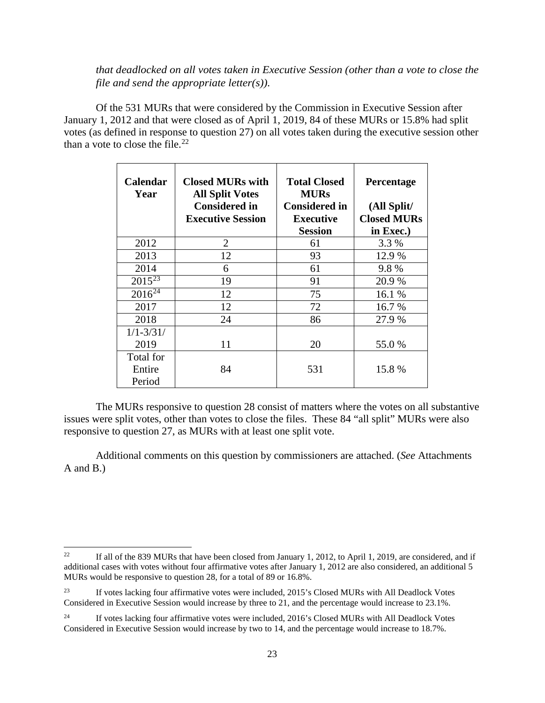*that deadlocked on all votes taken in Executive Session (other than a vote to close the file and send the appropriate letter(s)).*

Of the 531 MURs that were considered by the Commission in Executive Session after January 1, 2012 and that were closed as of April 1, 2019, 84 of these MURs or 15.8% had split votes (as defined in response to question 27) on all votes taken during the executive session other than a vote to close the file. $^{22}$ 

| <b>Calendar</b><br>Year       | <b>Closed MURs with</b><br><b>All Split Votes</b><br><b>Considered in</b><br><b>Executive Session</b> | <b>Total Closed</b><br><b>MURs</b><br><b>Considered in</b><br>Executive<br><b>Session</b> | <b>Percentage</b><br>(All Split/<br><b>Closed MURs</b><br>in Exec.) |
|-------------------------------|-------------------------------------------------------------------------------------------------------|-------------------------------------------------------------------------------------------|---------------------------------------------------------------------|
| 2012                          | 2                                                                                                     | 61                                                                                        | 3.3 %                                                               |
| 2013                          | 12                                                                                                    | 93                                                                                        | 12.9 %                                                              |
| 2014                          | 6                                                                                                     | 61                                                                                        | 9.8%                                                                |
| $2015^{23}$                   | 19                                                                                                    | 91                                                                                        | 20.9 %                                                              |
| $2016^{24}$                   | 12                                                                                                    | 75                                                                                        | 16.1 %                                                              |
| 2017                          | 12                                                                                                    | 72                                                                                        | 16.7 %                                                              |
| 2018                          | 24                                                                                                    | 86                                                                                        | 27.9 %                                                              |
| $1/1 - 3/31/$                 |                                                                                                       |                                                                                           |                                                                     |
| 2019                          | 11                                                                                                    | 20                                                                                        | 55.0 %                                                              |
| Total for<br>Entire<br>Period | 84                                                                                                    | 531                                                                                       | 15.8 %                                                              |

The MURs responsive to question 28 consist of matters where the votes on all substantive issues were split votes, other than votes to close the files. These 84 "all split" MURs were also responsive to question 27, as MURs with at least one split vote.

Additional comments on this question by commissioners are attached. (*See* Attachments A and B.)

<span id="page-22-0"></span><sup>&</sup>lt;sup>22</sup> If all of the 839 MURs that have been closed from January 1, 2012, to April 1, 2019, are considered, and if additional cases with votes without four affirmative votes after January 1, 2012 are also considered, an additional 5 MURs would be responsive to question 28, for a total of 89 or 16.8%.

<span id="page-22-1"></span><sup>&</sup>lt;sup>23</sup> If votes lacking four affirmative votes were included, 2015's Closed MURs with All Deadlock Votes Considered in Executive Session would increase by three to 21, and the percentage would increase to 23.1%.

<span id="page-22-2"></span><sup>&</sup>lt;sup>24</sup> If votes lacking four affirmative votes were included, 2016's Closed MURs with All Deadlock Votes Considered in Executive Session would increase by two to 14, and the percentage would increase to 18.7%.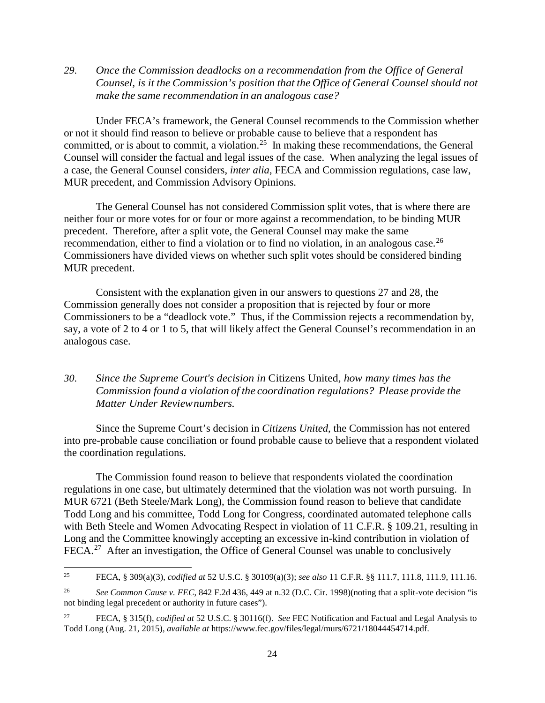*29. Once the Commission deadlocks on a recommendation from the Office of General Counsel, is it the Commission's position that the Office of General Counsel should not make the same recommendation in an analogous case?*

Under FECA's framework, the General Counsel recommends to the Commission whether or not it should find reason to believe or probable cause to believe that a respondent has committed, or is about to commit, a violation.[25](#page-23-0) In making these recommendations, the General Counsel will consider the factual and legal issues of the case. When analyzing the legal issues of a case, the General Counsel considers, *inter alia*, FECA and Commission regulations, case law, MUR precedent, and Commission Advisory Opinions.

The General Counsel has not considered Commission split votes, that is where there are neither four or more votes for or four or more against a recommendation, to be binding MUR precedent. Therefore, after a split vote, the General Counsel may make the same recommendation, either to find a violation or to find no violation, in an analogous case.<sup>26</sup> Commissioners have divided views on whether such split votes should be considered binding MUR precedent.

Consistent with the explanation given in our answers to questions 27 and 28, the Commission generally does not consider a proposition that is rejected by four or more Commissioners to be a "deadlock vote." Thus, if the Commission rejects a recommendation by, say, a vote of 2 to 4 or 1 to 5, that will likely affect the General Counsel's recommendation in an analogous case.

## *30. Since the Supreme Court's decision in* Citizens United*, how many times has the Commission found a violation of the coordination regulations? Please provide the Matter Under Reviewnumbers.*

Since the Supreme Court's decision in *Citizens United*, the Commission has not entered into pre-probable cause conciliation or found probable cause to believe that a respondent violated the coordination regulations.

The Commission found reason to believe that respondents violated the coordination regulations in one case, but ultimately determined that the violation was not worth pursuing. In MUR 6721 (Beth Steele/Mark Long), the Commission found reason to believe that candidate Todd Long and his committee, Todd Long for Congress, coordinated automated telephone calls with Beth Steele and Women Advocating Respect in violation of 11 C.F.R. § 109.21, resulting in Long and the Committee knowingly accepting an excessive in-kind contribution in violation of FECA.<sup>[27](#page-23-2)</sup> After an investigation, the Office of General Counsel was unable to conclusively

<span id="page-23-0"></span> <sup>25</sup> FECA, § 309(a)(3), *codified at* 52 U.S.C. § 30109(a)(3); *see also* 11 C.F.R. §§ 111.7, 111.8, 111.9, 111.16.

<span id="page-23-1"></span><sup>26</sup> *See Common Cause v. FEC*, 842 F.2d 436, 449 at n.32 (D.C. Cir. 1998)(noting that a split-vote decision "is not binding legal precedent or authority in future cases").

<span id="page-23-2"></span><sup>27</sup> FECA, § 315(f), *codified at* 52 U.S.C. § 30116(f). *See* FEC Notification and Factual and Legal Analysis to Todd Long (Aug. 21, 2015), *available at* https://www.fec.gov/files/legal/murs/6721/18044454714.pdf.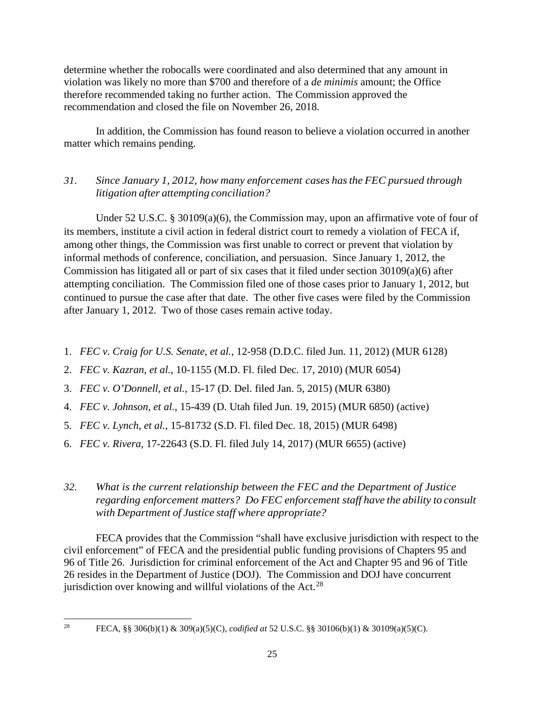determine whether the robocalls were coordinated and also determined that any amount in violation was likely no more than \$700 and therefore of a *de minimis* amount; the Office therefore recommended taking no further action. The Commission approved the recommendation and closed the file on November 26, 2018.

In addition, the Commission has found reason to believe a violation occurred in another matter which remains pending.

## *31. Since January 1, 2012, how many enforcement cases hasthe FEC pursued through litigation after attempting conciliation?*

Under 52 U.S.C. § 30109(a)(6), the Commission may, upon an affirmative vote of four of its members, institute a civil action in federal district court to remedy a violation of FECA if, among other things, the Commission was first unable to correct or prevent that violation by informal methods of conference, conciliation, and persuasion. Since January 1, 2012, the Commission has litigated all or part of six cases that it filed under section 30109(a)(6) after attempting conciliation. The Commission filed one of those cases prior to January 1, 2012, but continued to pursue the case after that date. The other five cases were filed by the Commission after January 1, 2012. Two of those cases remain active today.

- 1. *FEC v. Craig for U.S. Senate, et al.*, 12-958 (D.D.C. filed Jun. 11, 2012) (MUR 6128)
- 2. *FEC v. Kazran, et al.*, 10-1155 (M.D. Fl. filed Dec. 17, 2010) (MUR 6054)
- 3. *FEC v. O'Donnell, et al.*, 15-17 (D. Del. filed Jan. 5, 2015) (MUR 6380)
- 4. *FEC v. Johnson, et al.*, 15-439 (D. Utah filed Jun. 19, 2015) (MUR 6850) (active)
- 5. *FEC v. Lynch, et al.*, 15-81732 (S.D. Fl. filed Dec. 18, 2015) (MUR 6498)
- 6. *FEC v. Rivera*, 17-22643 (S.D. Fl. filed July 14, 2017) (MUR 6655) (active)

## *32. What is the current relationship between the FEC and the Department of Justice regarding enforcement matters? Do FEC enforcement staff have the ability to consult with Department of Justice staff where appropriate?*

FECA provides that the Commission "shall have exclusive jurisdiction with respect to the civil enforcement" of FECA and the presidential public funding provisions of Chapters 95 and 96 of Title 26. Jurisdiction for criminal enforcement of the Act and Chapter 95 and 96 of Title 26 resides in the Department of Justice (DOJ). The Commission and DOJ have concurrent jurisdiction over knowing and willful violations of the Act.<sup>[28](#page-24-0)</sup>

<span id="page-24-0"></span>

 <sup>28</sup> FECA, §§ 306(b)(1) & 309(a)(5)(C), *codified at* 52 U.S.C. §§ 30106(b)(1) & 30109(a)(5)(C).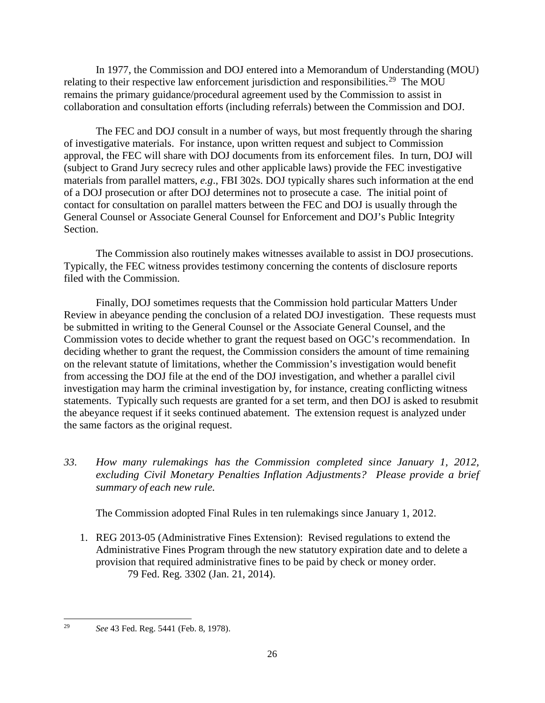In 1977, the Commission and DOJ entered into a Memorandum of Understanding (MOU) relating to their respective law enforcement jurisdiction and responsibilities.<sup>[29](#page-25-0)</sup> The MOU remains the primary guidance/procedural agreement used by the Commission to assist in collaboration and consultation efforts (including referrals) between the Commission and DOJ.

The FEC and DOJ consult in a number of ways, but most frequently through the sharing of investigative materials. For instance, upon written request and subject to Commission approval, the FEC will share with DOJ documents from its enforcement files. In turn, DOJ will (subject to Grand Jury secrecy rules and other applicable laws) provide the FEC investigative materials from parallel matters, *e.g*., FBI 302s. DOJ typically shares such information at the end of a DOJ prosecution or after DOJ determines not to prosecute a case. The initial point of contact for consultation on parallel matters between the FEC and DOJ is usually through the General Counsel or Associate General Counsel for Enforcement and DOJ's Public Integrity Section.

The Commission also routinely makes witnesses available to assist in DOJ prosecutions. Typically, the FEC witness provides testimony concerning the contents of disclosure reports filed with the Commission.

Finally, DOJ sometimes requests that the Commission hold particular Matters Under Review in abeyance pending the conclusion of a related DOJ investigation. These requests must be submitted in writing to the General Counsel or the Associate General Counsel, and the Commission votes to decide whether to grant the request based on OGC's recommendation. In deciding whether to grant the request, the Commission considers the amount of time remaining on the relevant statute of limitations, whether the Commission's investigation would benefit from accessing the DOJ file at the end of the DOJ investigation, and whether a parallel civil investigation may harm the criminal investigation by, for instance, creating conflicting witness statements. Typically such requests are granted for a set term, and then DOJ is asked to resubmit the abeyance request if it seeks continued abatement. The extension request is analyzed under the same factors as the original request.

*33. How many rulemakings has the Commission completed since January 1, 2012, excluding Civil Monetary Penalties Inflation Adjustments? Please provide a brief summary of each new rule.*

The Commission adopted Final Rules in ten rulemakings since January 1, 2012.

1. REG 2013-05 (Administrative Fines Extension): Revised regulations to extend the Administrative Fines Program through the new statutory expiration date and to delete a provision that required administrative fines to be paid by check or money order. 79 Fed. Reg. 3302 (Jan. 21, 2014).

<span id="page-25-0"></span> <sup>29</sup> *See* 43 Fed. Reg. 5441 (Feb. 8, 1978).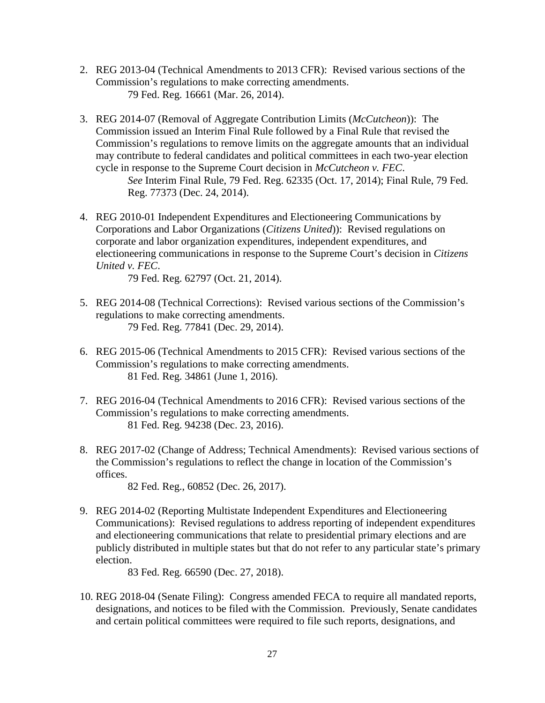- 2. REG 2013-04 (Technical Amendments to 2013 CFR): Revised various sections of the Commission's regulations to make correcting amendments. 79 Fed. Reg. 16661 (Mar. 26, 2014).
- 3. REG 2014-07 (Removal of Aggregate Contribution Limits (*McCutcheon*)): The Commission issued an Interim Final Rule followed by a Final Rule that revised the Commission's regulations to remove limits on the aggregate amounts that an individual may contribute to federal candidates and political committees in each two-year election cycle in response to the Supreme Court decision in *McCutcheon v. FEC*.

*See* Interim Final Rule, 79 Fed. Reg. 62335 (Oct. 17, 2014); Final Rule, 79 Fed. Reg. 77373 (Dec. 24, 2014).

4. REG 2010-01 Independent Expenditures and Electioneering Communications by Corporations and Labor Organizations (*Citizens United*)): Revised regulations on corporate and labor organization expenditures, independent expenditures, and electioneering communications in response to the Supreme Court's decision in *Citizens United v. FEC*.

79 Fed. Reg. 62797 (Oct. 21, 2014).

- 5. REG 2014-08 (Technical Corrections): Revised various sections of the Commission's regulations to make correcting amendments. 79 Fed. Reg. 77841 (Dec. 29, 2014).
- 6. REG 2015-06 (Technical Amendments to 2015 CFR): Revised various sections of the Commission's regulations to make correcting amendments. 81 Fed. Reg. 34861 (June 1, 2016).
- 7. REG 2016-04 (Technical Amendments to 2016 CFR): Revised various sections of the Commission's regulations to make correcting amendments. 81 Fed. Reg. 94238 (Dec. 23, 2016).
- 8. REG 2017-02 (Change of Address; Technical Amendments): Revised various sections of the Commission's regulations to reflect the change in location of the Commission's offices.

82 Fed. Reg., 60852 (Dec. 26, 2017).

9. REG 2014-02 (Reporting Multistate Independent Expenditures and Electioneering Communications): Revised regulations to address reporting of independent expenditures and electioneering communications that relate to presidential primary elections and are publicly distributed in multiple states but that do not refer to any particular state's primary election.

83 Fed. Reg. 66590 (Dec. 27, 2018).

10. REG 2018-04 (Senate Filing): Congress amended FECA to require all mandated reports, designations, and notices to be filed with the Commission. Previously, Senate candidates and certain political committees were required to file such reports, designations, and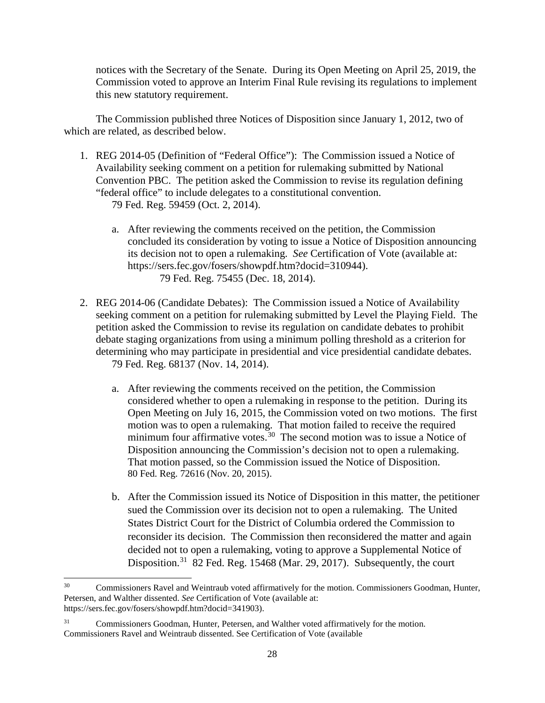notices with the Secretary of the Senate. During its Open Meeting on April 25, 2019, the Commission voted to approve an Interim Final Rule revising its regulations to implement this new statutory requirement.

The Commission published three Notices of Disposition since January 1, 2012, two of which are related, as described below.

- 1. REG 2014-05 (Definition of "Federal Office"): The Commission issued a Notice of Availability seeking comment on a petition for rulemaking submitted by National Convention PBC. The petition asked the Commission to revise its regulation defining "federal office" to include delegates to a constitutional convention. 79 Fed. Reg. 59459 (Oct. 2, 2014).
	- a. After reviewing the comments received on the petition, the Commission concluded its consideration by voting to issue a Notice of Disposition announcing its decision not to open a rulemaking. *See* Certification of Vote (available at: https://sers.fec.gov/fosers/showpdf.htm?docid=310944). 79 Fed. Reg. 75455 (Dec. 18, 2014).
- 2. REG 2014-06 (Candidate Debates): The Commission issued a Notice of Availability seeking comment on a petition for rulemaking submitted by Level the Playing Field. The petition asked the Commission to revise its regulation on candidate debates to prohibit debate staging organizations from using a minimum polling threshold as a criterion for determining who may participate in presidential and vice presidential candidate debates. 79 Fed. Reg. 68137 (Nov. 14, 2014).
	- a. After reviewing the comments received on the petition, the Commission considered whether to open a rulemaking in response to the petition. During its Open Meeting on July 16, 2015, the Commission voted on two motions. The first motion was to open a rulemaking. That motion failed to receive the required minimum four affirmative votes.<sup>30</sup> The second motion was to issue a Notice of Disposition announcing the Commission's decision not to open a rulemaking. That motion passed, so the Commission issued the Notice of Disposition. 80 Fed. Reg. 72616 (Nov. 20, 2015).
	- b. After the Commission issued its Notice of Disposition in this matter, the petitioner sued the Commission over its decision not to open a rulemaking. The United States District Court for the District of Columbia ordered the Commission to reconsider its decision. The Commission then reconsidered the matter and again decided not to open a rulemaking, voting to approve a Supplemental Notice of Disposition.<sup>31</sup> 82 Fed. Reg. 15468 (Mar. 29, 2017). Subsequently, the court

<span id="page-27-0"></span><sup>&</sup>lt;sup>30</sup> Commissioners Ravel and Weintraub voted affirmatively for the motion. Commissioners Goodman, Hunter, Petersen, and Walther dissented. *See* Certification of Vote (available at: https://sers.fec.gov/fosers/showpdf.htm?docid=341903).

<span id="page-27-1"></span><sup>&</sup>lt;sup>31</sup> Commissioners Goodman, Hunter, Petersen, and Walther voted affirmatively for the motion. Commissioners Ravel and Weintraub dissented. See Certification of Vote (available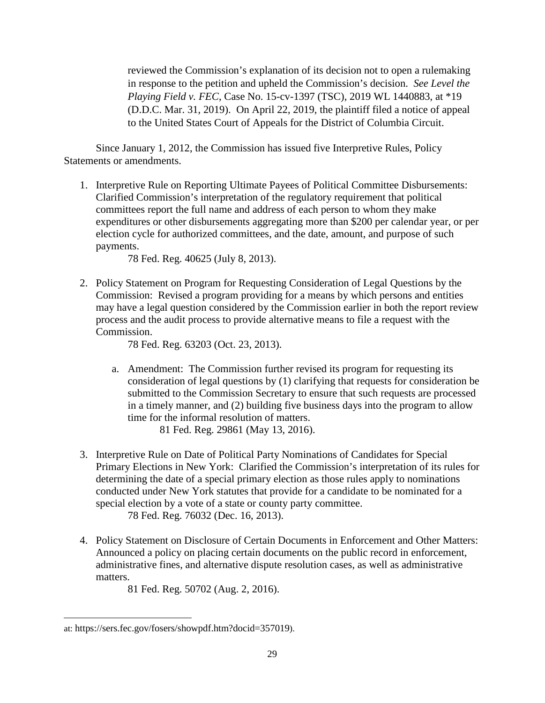reviewed the Commission's explanation of its decision not to open a rulemaking in response to the petition and upheld the Commission's decision. *See Level the Playing Field v. FEC*, Case No. 15-cv-1397 (TSC), 2019 WL 1440883, at \*19 (D.D.C. Mar. 31, 2019). On April 22, 2019, the plaintiff filed a notice of appeal to the United States Court of Appeals for the District of Columbia Circuit.

Since January 1, 2012, the Commission has issued five Interpretive Rules, Policy Statements or amendments.

1. Interpretive Rule on Reporting Ultimate Payees of Political Committee Disbursements: Clarified Commission's interpretation of the regulatory requirement that political committees report the full name and address of each person to whom they make expenditures or other disbursements aggregating more than \$200 per calendar year, or per election cycle for authorized committees, and the date, amount, and purpose of such payments.

78 Fed. Reg. 40625 (July 8, 2013).

2. Policy Statement on Program for Requesting Consideration of Legal Questions by the Commission: Revised a program providing for a means by which persons and entities may have a legal question considered by the Commission earlier in both the report review process and the audit process to provide alternative means to file a request with the Commission.

78 Fed. Reg. 63203 (Oct. 23, 2013).

a. Amendment: The Commission further revised its program for requesting its consideration of legal questions by (1) clarifying that requests for consideration be submitted to the Commission Secretary to ensure that such requests are processed in a timely manner, and (2) building five business days into the program to allow time for the informal resolution of matters.

81 Fed. Reg. 29861 (May 13, 2016).

3. Interpretive Rule on Date of Political Party Nominations of Candidates for Special Primary Elections in New York: Clarified the Commission's interpretation of its rules for determining the date of a special primary election as those rules apply to nominations conducted under New York statutes that provide for a candidate to be nominated for a special election by a vote of a state or county party committee.

78 Fed. Reg. 76032 (Dec. 16, 2013).

4. Policy Statement on Disclosure of Certain Documents in Enforcement and Other Matters: Announced a policy on placing certain documents on the public record in enforcement, administrative fines, and alternative dispute resolution cases, as well as administrative matters.

81 Fed. Reg. 50702 (Aug. 2, 2016).

<sup>&</sup>lt;u>.</u> at: https://sers.fec.gov/fosers/showpdf.htm?docid=357019).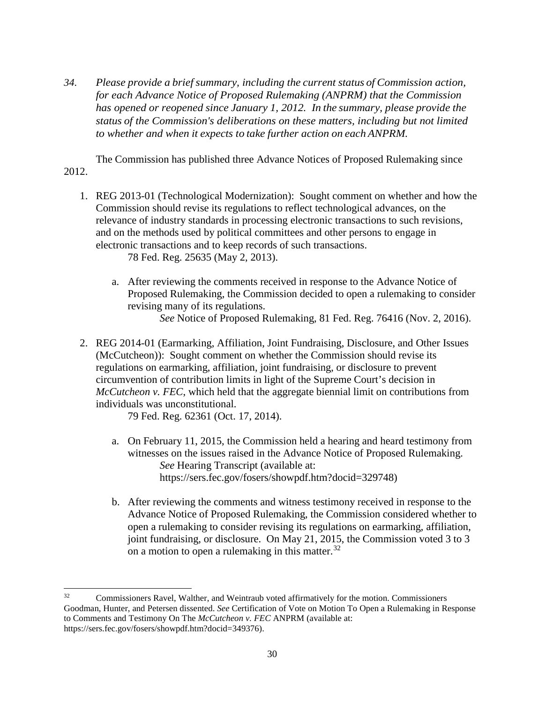*34. Please provide a brief summary, including the current status of Commission action, for each Advance Notice of Proposed Rulemaking (ANPRM) that the Commission has opened or reopened since January 1, 2012. In the summary, please provide the status of the Commission's deliberations on these matters, including but not limited to whether and when it expects to take further action on each ANPRM.*

The Commission has published three Advance Notices of Proposed Rulemaking since 2012.

1. REG 2013-01 (Technological Modernization): Sought comment on whether and how the Commission should revise its regulations to reflect technological advances, on the relevance of industry standards in processing electronic transactions to such revisions, and on the methods used by political committees and other persons to engage in electronic transactions and to keep records of such transactions.

78 Fed. Reg. 25635 (May 2, 2013).

a. After reviewing the comments received in response to the Advance Notice of Proposed Rulemaking, the Commission decided to open a rulemaking to consider revising many of its regulations.

*See* Notice of Proposed Rulemaking, 81 Fed. Reg. 76416 (Nov. 2, 2016).

2. REG 2014-01 (Earmarking, Affiliation, Joint Fundraising, Disclosure, and Other Issues (McCutcheon)): Sought comment on whether the Commission should revise its regulations on earmarking, affiliation, joint fundraising, or disclosure to prevent circumvention of contribution limits in light of the Supreme Court's decision in *McCutcheon v. FEC*, which held that the aggregate biennial limit on contributions from individuals was unconstitutional.

79 Fed. Reg. 62361 (Oct. 17, 2014).

- a. On February 11, 2015, the Commission held a hearing and heard testimony from witnesses on the issues raised in the Advance Notice of Proposed Rulemaking. *See* Hearing Transcript (available at: https://sers.fec.gov/fosers/showpdf.htm?docid=329748)
- b. After reviewing the comments and witness testimony received in response to the Advance Notice of Proposed Rulemaking, the Commission considered whether to open a rulemaking to consider revising its regulations on earmarking, affiliation, joint fundraising, or disclosure. On May 21, 2015, the Commission voted 3 to 3 on a motion to open a rulemaking in this matter. $32$

<span id="page-29-0"></span><sup>&</sup>lt;sup>32</sup> Commissioners Ravel, Walther, and Weintraub voted affirmatively for the motion. Commissioners Goodman, Hunter, and Petersen dissented. *See* Certification of Vote on Motion To Open a Rulemaking in Response to Comments and Testimony On The *McCutcheon v. FEC* ANPRM (available at: https://sers.fec.gov/fosers/showpdf.htm?docid=349376).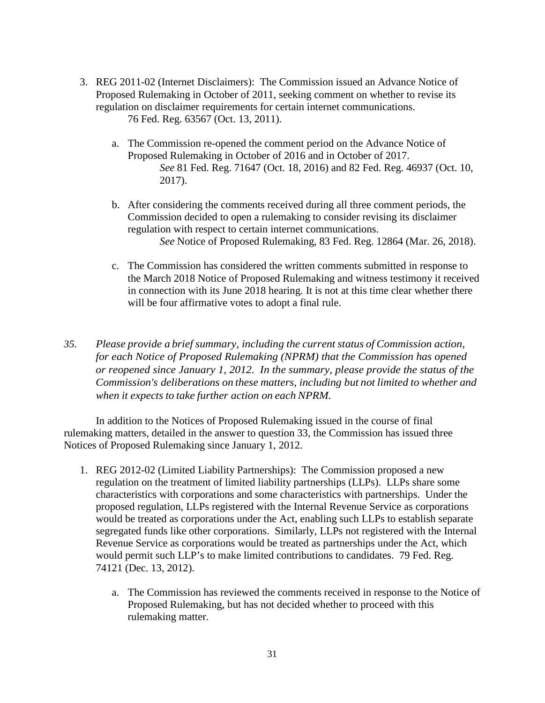- 3. REG 2011-02 (Internet Disclaimers): The Commission issued an Advance Notice of Proposed Rulemaking in October of 2011, seeking comment on whether to revise its regulation on disclaimer requirements for certain internet communications. 76 Fed. Reg. 63567 (Oct. 13, 2011).
	- a. The Commission re-opened the comment period on the Advance Notice of Proposed Rulemaking in October of 2016 and in October of 2017. *See* 81 Fed. Reg. 71647 (Oct. 18, 2016) and 82 Fed. Reg. 46937 (Oct. 10, 2017).
	- b. After considering the comments received during all three comment periods, the Commission decided to open a rulemaking to consider revising its disclaimer regulation with respect to certain internet communications. *See* Notice of Proposed Rulemaking, 83 Fed. Reg. 12864 (Mar. 26, 2018).
	- c. The Commission has considered the written comments submitted in response to the March 2018 Notice of Proposed Rulemaking and witness testimony it received in connection with its June 2018 hearing. It is not at this time clear whether there will be four affirmative votes to adopt a final rule.
- *35. Please provide a brief summary, including the current status of Commission action, for each Notice of Proposed Rulemaking (NPRM) that the Commission has opened or reopened since January 1, 2012. In the summary, please provide the status of the Commission's deliberations on these matters, including but not limited to whether and when it expects to take further action on each NPRM.*

In addition to the Notices of Proposed Rulemaking issued in the course of final rulemaking matters, detailed in the answer to question 33, the Commission has issued three Notices of Proposed Rulemaking since January 1, 2012.

- 1. REG 2012-02 (Limited Liability Partnerships): The Commission proposed a new regulation on the treatment of limited liability partnerships (LLPs). LLPs share some characteristics with corporations and some characteristics with partnerships. Under the proposed regulation, LLPs registered with the Internal Revenue Service as corporations would be treated as corporations under the Act, enabling such LLPs to establish separate segregated funds like other corporations. Similarly, LLPs not registered with the Internal Revenue Service as corporations would be treated as partnerships under the Act, which would permit such LLP's to make limited contributions to candidates. 79 Fed. Reg. 74121 (Dec. 13, 2012).
	- a. The Commission has reviewed the comments received in response to the Notice of Proposed Rulemaking, but has not decided whether to proceed with this rulemaking matter.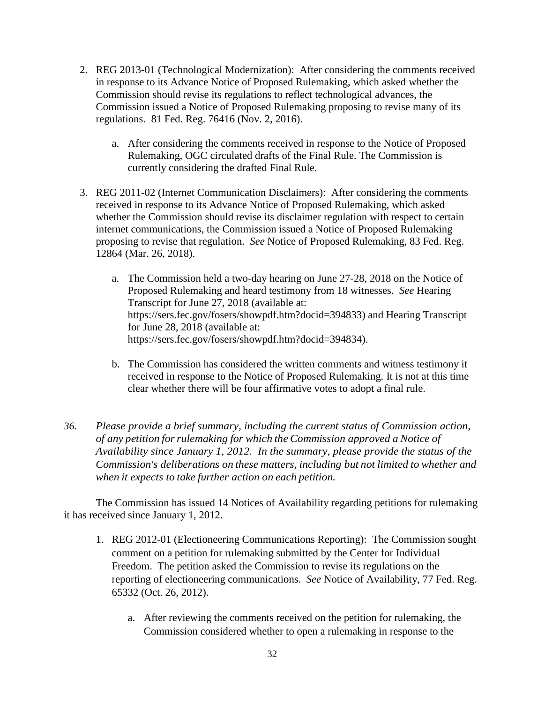- 2. REG 2013-01 (Technological Modernization): After considering the comments received in response to its Advance Notice of Proposed Rulemaking, which asked whether the Commission should revise its regulations to reflect technological advances, the Commission issued a Notice of Proposed Rulemaking proposing to revise many of its regulations. 81 Fed. Reg. 76416 (Nov. 2, 2016).
	- a. After considering the comments received in response to the Notice of Proposed Rulemaking, OGC circulated drafts of the Final Rule. The Commission is currently considering the drafted Final Rule.
- 3. REG 2011-02 (Internet Communication Disclaimers): After considering the comments received in response to its Advance Notice of Proposed Rulemaking, which asked whether the Commission should revise its disclaimer regulation with respect to certain internet communications, the Commission issued a Notice of Proposed Rulemaking proposing to revise that regulation. *See* Notice of Proposed Rulemaking, 83 Fed. Reg. 12864 (Mar. 26, 2018).
	- a. The Commission held a two-day hearing on June 27-28, 2018 on the Notice of Proposed Rulemaking and heard testimony from 18 witnesses. *See* Hearing Transcript for June 27, 2018 (available at: https://sers.fec.gov/fosers/showpdf.htm?docid=394833) and Hearing Transcript for June 28, 2018 (available at: https://sers.fec.gov/fosers/showpdf.htm?docid=394834).
	- b. The Commission has considered the written comments and witness testimony it received in response to the Notice of Proposed Rulemaking. It is not at this time clear whether there will be four affirmative votes to adopt a final rule.
- *36. Please provide a brief summary, including the current status of Commission action, of any petition forrulemaking for which the Commission approved a Notice of Availability since January 1, 2012. In the summary, please provide the status of the Commission's deliberations on these matters, including but not limited to whether and when it expects to take further action on each petition.*

The Commission has issued 14 Notices of Availability regarding petitions for rulemaking it has received since January 1, 2012.

- 1. REG 2012-01 (Electioneering Communications Reporting): The Commission sought comment on a petition for rulemaking submitted by the Center for Individual Freedom. The petition asked the Commission to revise its regulations on the reporting of electioneering communications. *See* Notice of Availability, 77 Fed. Reg. 65332 (Oct. 26, 2012).
	- a. After reviewing the comments received on the petition for rulemaking, the Commission considered whether to open a rulemaking in response to the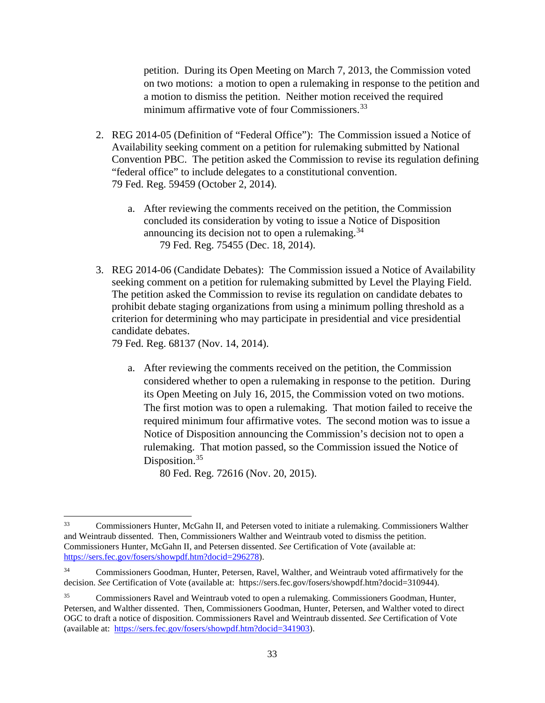petition. During its Open Meeting on March 7, 2013, the Commission voted on two motions: a motion to open a rulemaking in response to the petition and a motion to dismiss the petition. Neither motion received the required minimum affirmative vote of four Commissioners.<sup>[33](#page-32-0)</sup>

- 2. REG 2014-05 (Definition of "Federal Office"): The Commission issued a Notice of Availability seeking comment on a petition for rulemaking submitted by National Convention PBC. The petition asked the Commission to revise its regulation defining "federal office" to include delegates to a constitutional convention. 79 Fed. Reg. 59459 (October 2, 2014).
	- a. After reviewing the comments received on the petition, the Commission concluded its consideration by voting to issue a Notice of Disposition announcing its decision not to open a rulemaking.<sup>34</sup> 79 Fed. Reg. 75455 (Dec. 18, 2014).
- 3. REG 2014-06 (Candidate Debates): The Commission issued a Notice of Availability seeking comment on a petition for rulemaking submitted by Level the Playing Field. The petition asked the Commission to revise its regulation on candidate debates to prohibit debate staging organizations from using a minimum polling threshold as a criterion for determining who may participate in presidential and vice presidential candidate debates.

79 Fed. Reg. 68137 (Nov. 14, 2014).

a. After reviewing the comments received on the petition, the Commission considered whether to open a rulemaking in response to the petition. During its Open Meeting on July 16, 2015, the Commission voted on two motions. The first motion was to open a rulemaking. That motion failed to receive the required minimum four affirmative votes. The second motion was to issue a Notice of Disposition announcing the Commission's decision not to open a rulemaking. That motion passed, so the Commission issued the Notice of Disposition.<sup>35</sup>

80 Fed. Reg. 72616 (Nov. 20, 2015).

<span id="page-32-0"></span> <sup>33</sup> Commissioners Hunter, McGahn II, and Petersen voted to initiate a rulemaking. Commissioners Walther and Weintraub dissented. Then, Commissioners Walther and Weintraub voted to dismiss the petition. Commissioners Hunter, McGahn II, and Petersen dissented. *See* Certification of Vote (available at: [https://sers.fec.gov/fosers/showpdf.htm?docid=296278\)](https://sers.fec.gov/fosers/showpdf.htm?docid=296278).

<span id="page-32-1"></span><sup>34</sup> Commissioners Goodman, Hunter, Petersen, Ravel, Walther, and Weintraub voted affirmatively for the decision. *See* Certification of Vote (available at: https://sers.fec.gov/fosers/showpdf.htm?docid=310944).

<span id="page-32-2"></span><sup>35</sup> Commissioners Ravel and Weintraub voted to open a rulemaking. Commissioners Goodman, Hunter, Petersen, and Walther dissented. Then, Commissioners Goodman, Hunter, Petersen, and Walther voted to direct OGC to draft a notice of disposition. Commissioners Ravel and Weintraub dissented. *See* Certification of Vote (available at: [https://sers.fec.gov/fosers/showpdf.htm?docid=341903\)](https://sers.fec.gov/fosers/showpdf.htm?docid=341903).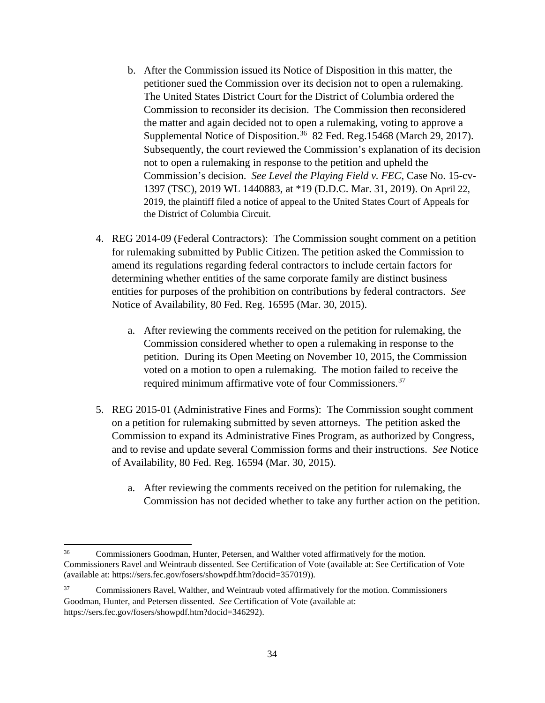- b. After the Commission issued its Notice of Disposition in this matter, the petitioner sued the Commission over its decision not to open a rulemaking. The United States District Court for the District of Columbia ordered the Commission to reconsider its decision. The Commission then reconsidered the matter and again decided not to open a rulemaking, voting to approve a Supplemental Notice of Disposition.<sup>36</sup> 82 Fed. Reg.15468 (March 29, 2017). Subsequently, the court reviewed the Commission's explanation of its decision not to open a rulemaking in response to the petition and upheld the Commission's decision. *See Level the Playing Field v. FEC*, Case No. 15-cv-1397 (TSC), 2019 WL 1440883, at \*19 (D.D.C. Mar. 31, 2019). On April 22, 2019, the plaintiff filed a notice of appeal to the United States Court of Appeals for the District of Columbia Circuit.
- 4. REG 2014-09 (Federal Contractors): The Commission sought comment on a petition for rulemaking submitted by Public Citizen. The petition asked the Commission to amend its regulations regarding federal contractors to include certain factors for determining whether entities of the same corporate family are distinct business entities for purposes of the prohibition on contributions by federal contractors. *See* Notice of Availability, 80 Fed. Reg. 16595 (Mar. 30, 2015).
	- a. After reviewing the comments received on the petition for rulemaking, the Commission considered whether to open a rulemaking in response to the petition. During its Open Meeting on November 10, 2015, the Commission voted on a motion to open a rulemaking. The motion failed to receive the required minimum affirmative vote of four Commissioners.<sup>[37](#page-33-1)</sup>
- 5. REG 2015-01 (Administrative Fines and Forms): The Commission sought comment on a petition for rulemaking submitted by seven attorneys. The petition asked the Commission to expand its Administrative Fines Program, as authorized by Congress, and to revise and update several Commission forms and their instructions. *See* Notice of Availability, 80 Fed. Reg. 16594 (Mar. 30, 2015).
	- a. After reviewing the comments received on the petition for rulemaking, the Commission has not decided whether to take any further action on the petition.

<span id="page-33-0"></span> <sup>36</sup> Commissioners Goodman, Hunter, Petersen, and Walther voted affirmatively for the motion. Commissioners Ravel and Weintraub dissented. See Certification of Vote (available at: See Certification of Vote (available at: https://sers.fec.gov/fosers/showpdf.htm?docid=357019)).

<span id="page-33-1"></span><sup>&</sup>lt;sup>37</sup> Commissioners Ravel, Walther, and Weintraub voted affirmatively for the motion. Commissioners Goodman, Hunter, and Petersen dissented. *See* Certification of Vote (available at: https://sers.fec.gov/fosers/showpdf.htm?docid=346292).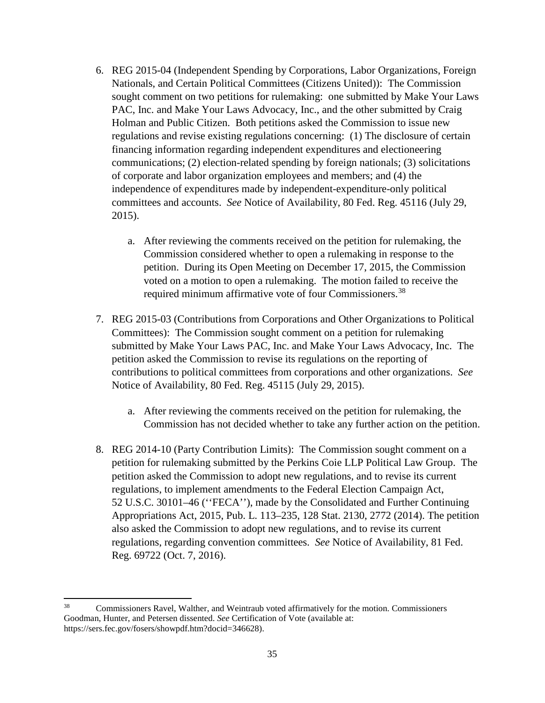- 6. REG 2015-04 (Independent Spending by Corporations, Labor Organizations, Foreign Nationals, and Certain Political Committees (Citizens United)): The Commission sought comment on two petitions for rulemaking: one submitted by Make Your Laws PAC, Inc. and Make Your Laws Advocacy, Inc., and the other submitted by Craig Holman and Public Citizen. Both petitions asked the Commission to issue new regulations and revise existing regulations concerning: (1) The disclosure of certain financing information regarding independent expenditures and electioneering communications; (2) election-related spending by foreign nationals; (3) solicitations of corporate and labor organization employees and members; and (4) the independence of expenditures made by independent-expenditure-only political committees and accounts. *See* Notice of Availability, 80 Fed. Reg. 45116 (July 29, 2015).
	- a. After reviewing the comments received on the petition for rulemaking, the Commission considered whether to open a rulemaking in response to the petition. During its Open Meeting on December 17, 2015, the Commission voted on a motion to open a rulemaking. The motion failed to receive the required minimum affirmative vote of four Commissioners.<sup>[38](#page-34-0)</sup>
- 7. REG 2015-03 (Contributions from Corporations and Other Organizations to Political Committees): The Commission sought comment on a petition for rulemaking submitted by Make Your Laws PAC, Inc. and Make Your Laws Advocacy, Inc. The petition asked the Commission to revise its regulations on the reporting of contributions to political committees from corporations and other organizations. *See* Notice of Availability, 80 Fed. Reg. 45115 (July 29, 2015).
	- a. After reviewing the comments received on the petition for rulemaking, the Commission has not decided whether to take any further action on the petition.
- 8. REG 2014-10 (Party Contribution Limits): The Commission sought comment on a petition for rulemaking submitted by the Perkins Coie LLP Political Law Group. The petition asked the Commission to adopt new regulations, and to revise its current regulations, to implement amendments to the Federal Election Campaign Act, 52 U.S.C. 30101–46 (''FECA''), made by the Consolidated and Further Continuing Appropriations Act, 2015, Pub. L. 113–235, 128 Stat. 2130, 2772 (2014). The petition also asked the Commission to adopt new regulations, and to revise its current regulations, regarding convention committees. *See* Notice of Availability, 81 Fed. Reg. 69722 (Oct. 7, 2016).

<span id="page-34-0"></span> <sup>38</sup> Commissioners Ravel, Walther, and Weintraub voted affirmatively for the motion. Commissioners Goodman, Hunter, and Petersen dissented. *See* Certification of Vote (available at: https://sers.fec.gov/fosers/showpdf.htm?docid=346628).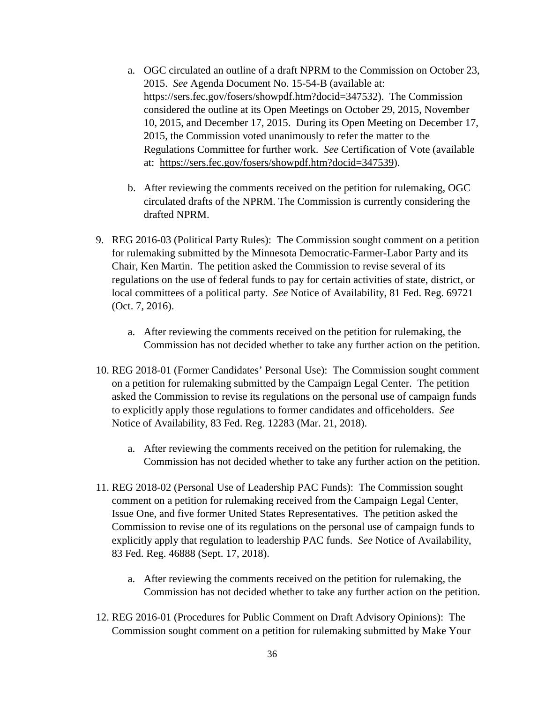- a. OGC circulated an outline of a draft NPRM to the Commission on October 23, 2015. *See* Agenda Document No. 15-54-B (available at: https://sers.fec.gov/fosers/showpdf.htm?docid=347532). The Commission considered the outline at its Open Meetings on October 29, 2015, November 10, 2015, and December 17, 2015. During its Open Meeting on December 17, 2015, the Commission voted unanimously to refer the matter to the Regulations Committee for further work. *See* Certification of Vote (available at: [https://sers.fec.gov/fosers/showpdf.htm?docid=347539\)](https://sers.fec.gov/fosers/showpdf.htm?docid=347539).
- b. After reviewing the comments received on the petition for rulemaking, OGC circulated drafts of the NPRM. The Commission is currently considering the drafted NPRM.
- 9. REG 2016-03 (Political Party Rules): The Commission sought comment on a petition for rulemaking submitted by the Minnesota Democratic-Farmer-Labor Party and its Chair, Ken Martin. The petition asked the Commission to revise several of its regulations on the use of federal funds to pay for certain activities of state, district, or local committees of a political party. *See* Notice of Availability, 81 Fed. Reg. 69721 (Oct. 7, 2016).
	- a. After reviewing the comments received on the petition for rulemaking, the Commission has not decided whether to take any further action on the petition.
- 10. REG 2018-01 (Former Candidates' Personal Use): The Commission sought comment on a petition for rulemaking submitted by the Campaign Legal Center. The petition asked the Commission to revise its regulations on the personal use of campaign funds to explicitly apply those regulations to former candidates and officeholders. *See* Notice of Availability, 83 Fed. Reg. 12283 (Mar. 21, 2018).
	- a. After reviewing the comments received on the petition for rulemaking, the Commission has not decided whether to take any further action on the petition.
- 11. REG 2018-02 (Personal Use of Leadership PAC Funds): The Commission sought comment on a petition for rulemaking received from the Campaign Legal Center, Issue One, and five former United States Representatives. The petition asked the Commission to revise one of its regulations on the personal use of campaign funds to explicitly apply that regulation to leadership PAC funds. *See* Notice of Availability, 83 Fed. Reg. 46888 (Sept. 17, 2018).
	- a. After reviewing the comments received on the petition for rulemaking, the Commission has not decided whether to take any further action on the petition.
- 12. REG 2016-01 (Procedures for Public Comment on Draft Advisory Opinions): The Commission sought comment on a petition for rulemaking submitted by Make Your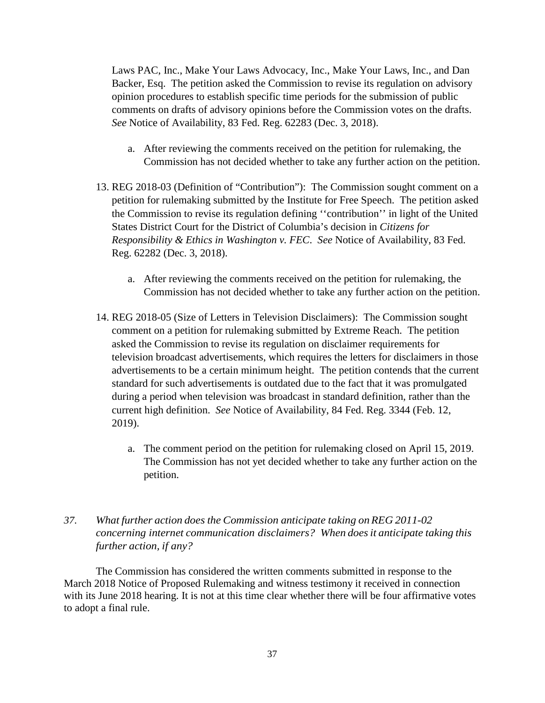Laws PAC, Inc., Make Your Laws Advocacy, Inc., Make Your Laws, Inc., and Dan Backer, Esq. The petition asked the Commission to revise its regulation on advisory opinion procedures to establish specific time periods for the submission of public comments on drafts of advisory opinions before the Commission votes on the drafts. *See* Notice of Availability, 83 Fed. Reg. 62283 (Dec. 3, 2018).

- a. After reviewing the comments received on the petition for rulemaking, the Commission has not decided whether to take any further action on the petition.
- 13. REG 2018-03 (Definition of "Contribution"): The Commission sought comment on a petition for rulemaking submitted by the Institute for Free Speech. The petition asked the Commission to revise its regulation defining ''contribution'' in light of the United States District Court for the District of Columbia's decision in *Citizens for Responsibility & Ethics in Washington v. FEC*. *See* Notice of Availability, 83 Fed. Reg. 62282 (Dec. 3, 2018).
	- a. After reviewing the comments received on the petition for rulemaking, the Commission has not decided whether to take any further action on the petition.
- 14. REG 2018-05 (Size of Letters in Television Disclaimers): The Commission sought comment on a petition for rulemaking submitted by Extreme Reach. The petition asked the Commission to revise its regulation on disclaimer requirements for television broadcast advertisements, which requires the letters for disclaimers in those advertisements to be a certain minimum height. The petition contends that the current standard for such advertisements is outdated due to the fact that it was promulgated during a period when television was broadcast in standard definition, rather than the current high definition. *See* Notice of Availability, 84 Fed. Reg. 3344 (Feb. 12, 2019).
	- a. The comment period on the petition for rulemaking closed on April 15, 2019. The Commission has not yet decided whether to take any further action on the petition.
- *37. What further action does the Commission anticipate taking onREG 2011-02 concerning internet communication disclaimers? When doesit anticipate taking this further action, if any?*

The Commission has considered the written comments submitted in response to the March 2018 Notice of Proposed Rulemaking and witness testimony it received in connection with its June 2018 hearing. It is not at this time clear whether there will be four affirmative votes to adopt a final rule.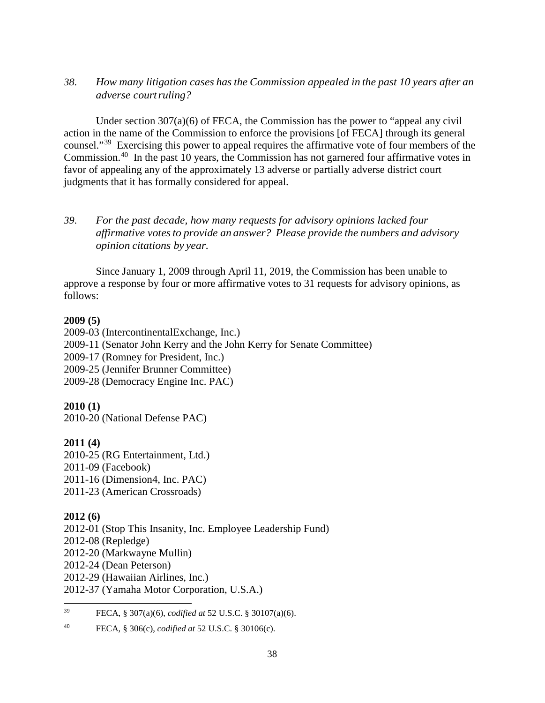## *38. How many litigation cases hasthe Commission appealed in the past 10 years after an adverse courtruling?*

Under section  $307(a)(6)$  of FECA, the Commission has the power to "appeal any civil" action in the name of the Commission to enforce the provisions [of FECA] through its general counsel."[39](#page-37-0) Exercising this power to appeal requires the affirmative vote of four members of the Commission.[40](#page-37-1) In the past 10 years, the Commission has not garnered four affirmative votes in favor of appealing any of the approximately 13 adverse or partially adverse district court judgments that it has formally considered for appeal.

## *39. For the past decade, how many requests for advisory opinions lacked four affirmative votesto provide an answer? Please provide the numbers and advisory opinion citations by year.*

Since January 1, 2009 through April 11, 2019, the Commission has been unable to approve a response by four or more affirmative votes to 31 requests for advisory opinions, as follows:

### **2009 (5)**

2009-03 (IntercontinentalExchange, Inc.) 2009-11 (Senator John Kerry and the John Kerry for Senate Committee) 2009-17 (Romney for President, Inc.) 2009-25 (Jennifer Brunner Committee) 2009-28 (Democracy Engine Inc. PAC)

## **2010 (1)**

2010-20 (National Defense PAC)

## **2011 (4)**

2010-25 (RG Entertainment, Ltd.) 2011-09 (Facebook) 2011-16 (Dimension4, Inc. PAC) 2011-23 (American Crossroads)

## **2012 (6)**

2012-01 (Stop This Insanity, Inc. Employee Leadership Fund) 2012-08 (Repledge) 2012-20 (Markwayne Mullin) 2012-24 (Dean Peterson) 2012-29 (Hawaiian Airlines, Inc.) 2012-37 (Yamaha Motor Corporation, U.S.A.)

<span id="page-37-0"></span>39 FECA, § 307(a)(6), *codified at* 52 U.S.C. § 30107(a)(6).

<span id="page-37-1"></span><sup>40</sup> FECA, § 306(c), *codified at* 52 U.S.C. § 30106(c).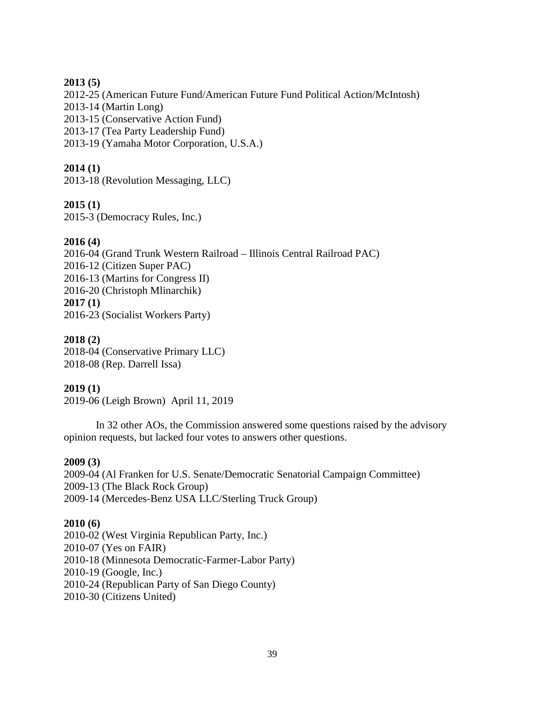### **2013 (5)**

2012-25 (American Future Fund/American Future Fund Political Action/McIntosh)

2013-14 (Martin Long)

2013-15 (Conservative Action Fund)

2013-17 (Tea Party Leadership Fund)

2013-19 (Yamaha Motor Corporation, U.S.A.)

## **2014 (1)**

2013-18 (Revolution Messaging, LLC)

## **2015 (1)**

2015-3 (Democracy Rules, Inc.)

## **2016 (4)**

2016-04 (Grand Trunk Western Railroad – Illinois Central Railroad PAC) 2016-12 (Citizen Super PAC) 2016-13 (Martins for Congress II) 2016-20 (Christoph Mlinarchik) **2017 (1)** 2016-23 (Socialist Workers Party)

### **2018 (2)**

2018-04 (Conservative Primary LLC) 2018-08 (Rep. Darrell Issa)

## **2019 (1)**

2019-06 (Leigh Brown) April 11, 2019

In 32 other AOs, the Commission answered some questions raised by the advisory opinion requests, but lacked four votes to answers other questions.

### **2009 (3)**

2009-04 (Al Franken for U.S. Senate/Democratic Senatorial Campaign Committee) 2009-13 (The Black Rock Group) 2009-14 (Mercedes-Benz USA LLC/Sterling Truck Group)

### **2010 (6)**

2010-02 (West Virginia Republican Party, Inc.) 2010-07 (Yes on FAIR) 2010-18 (Minnesota Democratic-Farmer-Labor Party) 2010-19 (Google, Inc.) 2010-24 (Republican Party of San Diego County) 2010-30 (Citizens United)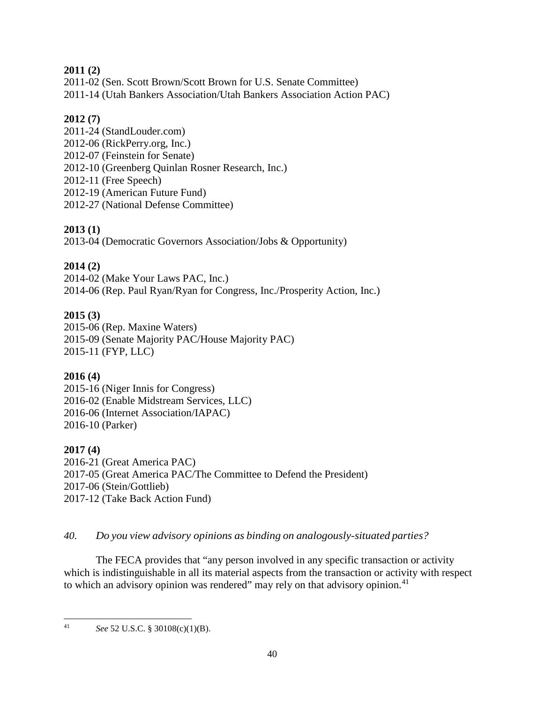## **2011 (2)**

2011-02 (Sen. Scott Brown/Scott Brown for U.S. Senate Committee)

2011-14 (Utah Bankers Association/Utah Bankers Association Action PAC)

# **2012 (7)**

2011-24 (StandLouder.com) 2012-06 (RickPerry.org, Inc.) 2012-07 (Feinstein for Senate) 2012-10 (Greenberg Quinlan Rosner Research, Inc.) 2012-11 (Free Speech) 2012-19 (American Future Fund) 2012-27 (National Defense Committee)

# **2013 (1)**

2013-04 (Democratic Governors Association/Jobs & Opportunity)

# **2014 (2)**

2014-02 (Make Your Laws PAC, Inc.) 2014-06 (Rep. Paul Ryan/Ryan for Congress, Inc./Prosperity Action, Inc.)

# **2015 (3)**

2015-06 (Rep. Maxine Waters) 2015-09 (Senate Majority PAC/House Majority PAC) 2015-11 (FYP, LLC)

# **2016 (4)**

2015-16 (Niger Innis for Congress) 2016-02 (Enable Midstream Services, LLC) 2016-06 (Internet Association/IAPAC) 2016-10 (Parker)

# **2017 (4)**

2016-21 (Great America PAC) 2017-05 (Great America PAC/The Committee to Defend the President) 2017-06 (Stein/Gottlieb) 2017-12 (Take Back Action Fund)

# *40. Do you view advisory opinions as binding on analogously-situated parties?*

The FECA provides that "any person involved in any specific transaction or activity which is indistinguishable in all its material aspects from the transaction or activity with respect to which an advisory opinion was rendered" may rely on that advisory opinion.<sup>[41](#page-39-0)</sup>

<span id="page-39-0"></span> <sup>41</sup> *See* 52 U.S.C. § 30108(c)(1)(B).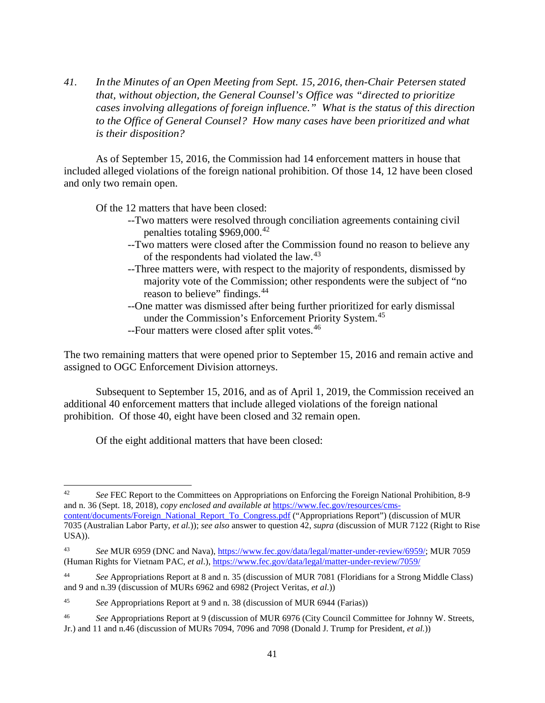*41. In the Minutes of an Open Meeting from Sept. 15, 2016, then-Chair Petersen stated that, without objection, the General Counsel's Office was "directed to prioritize cases involving allegations of foreign influence." What is the status of this direction to the Office of General Counsel? How many cases have been prioritized and what is their disposition?*

As of September 15, 2016, the Commission had 14 enforcement matters in house that included alleged violations of the foreign national prohibition. Of those 14, 12 have been closed and only two remain open.

Of the 12 matters that have been closed:

- --Two matters were resolved through conciliation agreements containing civil penalties totaling \$969,000.[42](#page-40-0)
- --Two matters were closed after the Commission found no reason to believe any of the respondents had violated the law.[43](#page-40-1)
- --Three matters were, with respect to the majority of respondents, dismissed by majority vote of the Commission; other respondents were the subject of "no reason to believe" findings.<sup>[44](#page-40-2)</sup>
- --One matter was dismissed after being further prioritized for early dismissal under the Commission's Enforcement Priority System.[45](#page-40-3)
- --Four matters were closed after split votes.<sup>[46](#page-40-4)</sup>

The two remaining matters that were opened prior to September 15, 2016 and remain active and assigned to OGC Enforcement Division attorneys.

Subsequent to September 15, 2016, and as of April 1, 2019, the Commission received an additional 40 enforcement matters that include alleged violations of the foreign national prohibition. Of those 40, eight have been closed and 32 remain open.

Of the eight additional matters that have been closed:

<span id="page-40-0"></span> <sup>42</sup> *See* FEC Report to the Committees on Appropriations on Enforcing the Foreign National Prohibition, 8-9 and n. 36 (Sept. 18, 2018), *copy enclosed and available at* [https://www.fec.gov/resources/cms-](https://www.fec.gov/resources/cms-content/documents/Foreign_National_Report_To_Congress.pdf)

[content/documents/Foreign\\_National\\_Report\\_To\\_Congress.pdf](https://www.fec.gov/resources/cms-content/documents/Foreign_National_Report_To_Congress.pdf) ("Appropriations Report") (discussion of MUR 7035 (Australian Labor Party, *et al.*)); *see also* answer to question 42, *supra* (discussion of MUR 7122 (Right to Rise USA)).

<span id="page-40-1"></span><sup>43</sup> *See* MUR 6959 (DNC and Nava), [https://www.fec.gov/data/legal/matter-under-review/6959/;](https://www.fec.gov/data/legal/matter-under-review/6959/) MUR 7059 (Human Rights for Vietnam PAC, *et al*.),<https://www.fec.gov/data/legal/matter-under-review/7059/>

<span id="page-40-2"></span><sup>44</sup> *See* Appropriations Report at 8 and n. 35 (discussion of MUR 7081 (Floridians for a Strong Middle Class) and 9 and n.39 (discussion of MURs 6962 and 6982 (Project Veritas, *et al*.))

<span id="page-40-3"></span><sup>45</sup> *See* Appropriations Report at 9 and n. 38 (discussion of MUR 6944 (Farias))

<span id="page-40-4"></span><sup>46</sup> *See* Appropriations Report at 9 (discussion of MUR 6976 (City Council Committee for Johnny W. Streets, Jr.) and 11 and n.46 (discussion of MURs 7094, 7096 and 7098 (Donald J. Trump for President, *et al.*))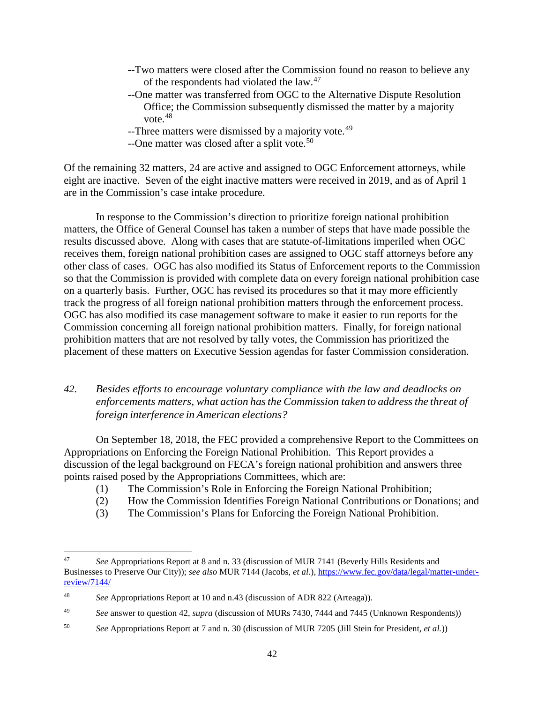- --Two matters were closed after the Commission found no reason to believe any of the respondents had violated the law.[47](#page-41-0)
- --One matter was transferred from OGC to the Alternative Dispute Resolution Office; the Commission subsequently dismissed the matter by a majority vote.[48](#page-41-1)
- --Three matters were dismissed by a majority vote.<sup>[49](#page-41-2)</sup>
- --One matter was closed after a split vote.<sup>[50](#page-41-3)</sup>

Of the remaining 32 matters, 24 are active and assigned to OGC Enforcement attorneys, while eight are inactive. Seven of the eight inactive matters were received in 2019, and as of April 1 are in the Commission's case intake procedure.

In response to the Commission's direction to prioritize foreign national prohibition matters, the Office of General Counsel has taken a number of steps that have made possible the results discussed above. Along with cases that are statute-of-limitations imperiled when OGC receives them, foreign national prohibition cases are assigned to OGC staff attorneys before any other class of cases. OGC has also modified its Status of Enforcement reports to the Commission so that the Commission is provided with complete data on every foreign national prohibition case on a quarterly basis. Further, OGC has revised its procedures so that it may more efficiently track the progress of all foreign national prohibition matters through the enforcement process. OGC has also modified its case management software to make it easier to run reports for the Commission concerning all foreign national prohibition matters. Finally, for foreign national prohibition matters that are not resolved by tally votes, the Commission has prioritized the placement of these matters on Executive Session agendas for faster Commission consideration.

## *42. Besides efforts to encourage voluntary compliance with the law and deadlocks on enforcements matters, what action hasthe Commission taken to addressthe threat of foreign interference in American elections?*

On September 18, 2018, the FEC provided a comprehensive Report to the Committees on Appropriations on Enforcing the Foreign National Prohibition. This Report provides a discussion of the legal background on FECA's foreign national prohibition and answers three points raised posed by the Appropriations Committees, which are:

- (1) The Commission's Role in Enforcing the Foreign National Prohibition;
- (2) How the Commission Identifies Foreign National Contributions or Donations; and
- (3) The Commission's Plans for Enforcing the Foreign National Prohibition.

<span id="page-41-0"></span> <sup>47</sup> *See* Appropriations Report at 8 and n. 33 (discussion of MUR 7141 (Beverly Hills Residents and Businesses to Preserve Our City)); *see also* MUR 7144 (Jacobs, *et al.*)[, https://www.fec.gov/data/legal/matter-under](https://www.fec.gov/data/legal/matter-under-review/7144/)[review/7144/](https://www.fec.gov/data/legal/matter-under-review/7144/)

<span id="page-41-1"></span><sup>48</sup> *See* Appropriations Report at 10 and n.43 (discussion of ADR 822 (Arteaga)).

<span id="page-41-2"></span><sup>49</sup> *See* answer to question 42, *supra* (discussion of MURs 7430, 7444 and 7445 (Unknown Respondents))

<span id="page-41-3"></span><sup>50</sup> *See* Appropriations Report at 7 and n. 30 (discussion of MUR 7205 (Jill Stein for President, *et al.*))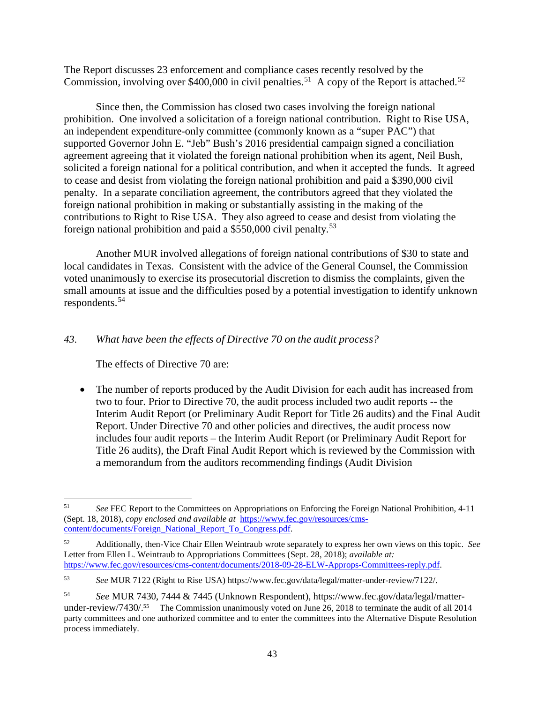The Report discusses 23 enforcement and compliance cases recently resolved by the Commission, involving over \$400,000 in civil penalties.<sup>[51](#page-42-0)</sup> A copy of the Report is attached.<sup>[52](#page-42-1)</sup>

Since then, the Commission has closed two cases involving the foreign national prohibition. One involved a solicitation of a foreign national contribution. Right to Rise USA, an independent expenditure-only committee (commonly known as a "super PAC") that supported Governor John E. "Jeb" Bush's 2016 presidential campaign signed a conciliation agreement agreeing that it violated the foreign national prohibition when its agent, Neil Bush, solicited a foreign national for a political contribution, and when it accepted the funds. It agreed to cease and desist from violating the foreign national prohibition and paid a \$390,000 civil penalty. In a separate conciliation agreement, the contributors agreed that they violated the foreign national prohibition in making or substantially assisting in the making of the contributions to Right to Rise USA. They also agreed to cease and desist from violating the foreign national prohibition and paid a \$550,000 civil penalty.[53](#page-42-2)

Another MUR involved allegations of foreign national contributions of \$30 to state and local candidates in Texas. Consistent with the advice of the General Counsel, the Commission voted unanimously to exercise its prosecutorial discretion to dismiss the complaints, given the small amounts at issue and the difficulties posed by a potential investigation to identify unknown respondents.[54](#page-42-3)

## *43. What have been the effects of Directive 70 on the audit process?*

The effects of Directive 70 are:

• The number of reports produced by the Audit Division for each audit has increased from two to four. Prior to Directive 70, the audit process included two audit reports -- the Interim Audit Report (or Preliminary Audit Report for Title 26 audits) and the Final Audit Report. Under Directive 70 and other policies and directives, the audit process now includes four audit reports – the Interim Audit Report (or Preliminary Audit Report for Title 26 audits), the Draft Final Audit Report which is reviewed by the Commission with a memorandum from the auditors recommending findings (Audit Division

 <sup>51</sup> *See* FEC Report to the Committees on Appropriations on Enforcing the Foreign National Prohibition, 4-11 (Sept. 18, 2018), *copy enclosed and available at* [https://www.fec.gov/resources/cms](https://www.fec.gov/resources/cms-content/documents/Foreign_National_Report_To_Congress.pdf)[content/documents/Foreign\\_National\\_Report\\_To\\_Congress.pdf.](https://www.fec.gov/resources/cms-content/documents/Foreign_National_Report_To_Congress.pdf)

<span id="page-42-0"></span><sup>52</sup> Additionally, then-Vice Chair Ellen Weintraub wrote separately to express her own views on this topic. *See* Letter from Ellen L. Weintraub to Appropriations Committees (Sept. 28, 2018); *available at:* [https://www.fec.gov/resources/cms-content/documents/2018-09-28-ELW-Approps-Committees-reply.pdf.](https://www.fec.gov/resources/cms-content/documents/2018-09-28-ELW-Approps-Committees-reply.pdf) 

<span id="page-42-1"></span><sup>53</sup> *See* MUR 7122 (Right to Rise USA) https://www.fec.gov/data/legal/matter-under-review/7122/.

<span id="page-42-3"></span><span id="page-42-2"></span><sup>54</sup> *See* MUR 7430, 7444 & 7445 (Unknown Respondent), https://www.fec.gov/data/legal/matterunder-review/7430/.<sup>55</sup> The Commission unanimously voted on June 26, 2018 to terminate the audit of all 2014 party committees and one authorized committee and to enter the committees into the Alternative Dispute Resolution process immediately.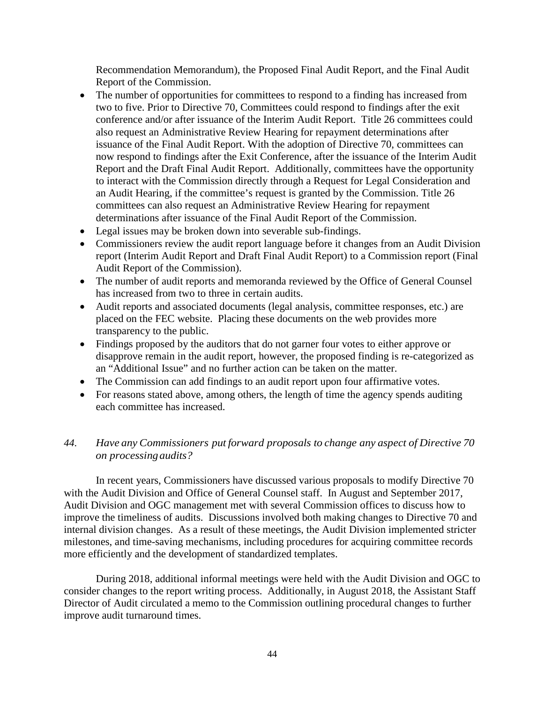Recommendation Memorandum), the Proposed Final Audit Report, and the Final Audit Report of the Commission.

- The number of opportunities for committees to respond to a finding has increased from two to five. Prior to Directive 70, Committees could respond to findings after the exit conference and/or after issuance of the Interim Audit Report. Title 26 committees could also request an Administrative Review Hearing for repayment determinations after issuance of the Final Audit Report. With the adoption of Directive 70, committees can now respond to findings after the Exit Conference, after the issuance of the Interim Audit Report and the Draft Final Audit Report. Additionally, committees have the opportunity to interact with the Commission directly through a Request for Legal Consideration and an Audit Hearing, if the committee's request is granted by the Commission. Title 26 committees can also request an Administrative Review Hearing for repayment determinations after issuance of the Final Audit Report of the Commission.
- Legal issues may be broken down into severable sub-findings.
- Commissioners review the audit report language before it changes from an Audit Division report (Interim Audit Report and Draft Final Audit Report) to a Commission report (Final Audit Report of the Commission).
- The number of audit reports and memoranda reviewed by the Office of General Counsel has increased from two to three in certain audits.
- Audit reports and associated documents (legal analysis, committee responses, etc.) are placed on the FEC website. Placing these documents on the web provides more transparency to the public.
- Findings proposed by the auditors that do not garner four votes to either approve or disapprove remain in the audit report, however, the proposed finding is re-categorized as an "Additional Issue" and no further action can be taken on the matter.
- The Commission can add findings to an audit report upon four affirmative votes.
- For reasons stated above, among others, the length of time the agency spends auditing each committee has increased.

## *44. Have any Commissioners put forward proposals to change any aspect of Directive 70 on processingaudits?*

In recent years, Commissioners have discussed various proposals to modify Directive 70 with the Audit Division and Office of General Counsel staff. In August and September 2017, Audit Division and OGC management met with several Commission offices to discuss how to improve the timeliness of audits. Discussions involved both making changes to Directive 70 and internal division changes. As a result of these meetings, the Audit Division implemented stricter milestones, and time-saving mechanisms, including procedures for acquiring committee records more efficiently and the development of standardized templates.

During 2018, additional informal meetings were held with the Audit Division and OGC to consider changes to the report writing process. Additionally, in August 2018, the Assistant Staff Director of Audit circulated a memo to the Commission outlining procedural changes to further improve audit turnaround times.